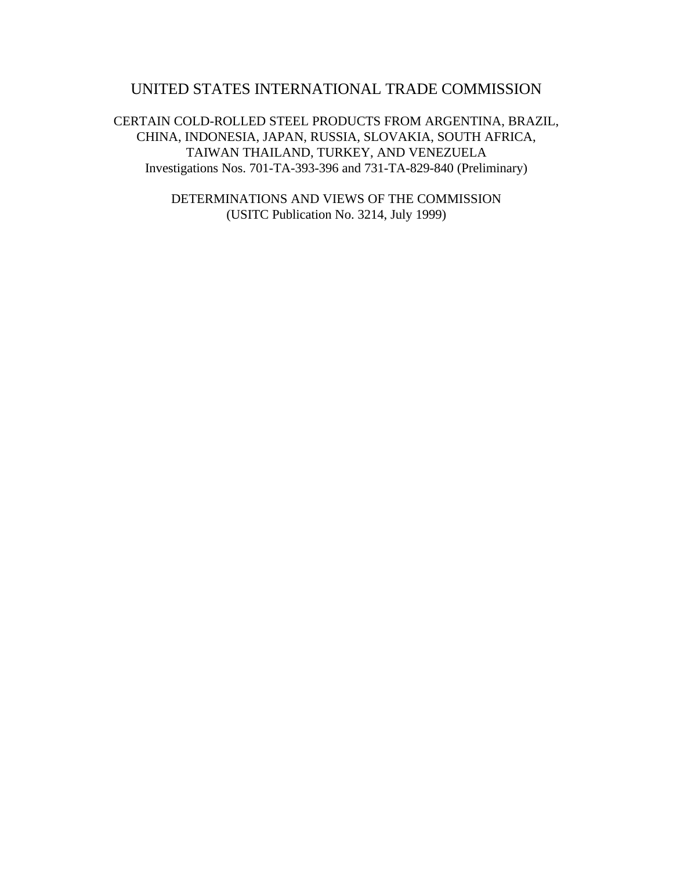# UNITED STATES INTERNATIONAL TRADE COMMISSION

CERTAIN COLD-ROLLED STEEL PRODUCTS FROM ARGENTINA, BRAZIL, CHINA, INDONESIA, JAPAN, RUSSIA, SLOVAKIA, SOUTH AFRICA, TAIWAN THAILAND, TURKEY, AND VENEZUELA Investigations Nos. 701-TA-393-396 and 731-TA-829-840 (Preliminary)

> DETERMINATIONS AND VIEWS OF THE COMMISSION (USITC Publication No. 3214, July 1999)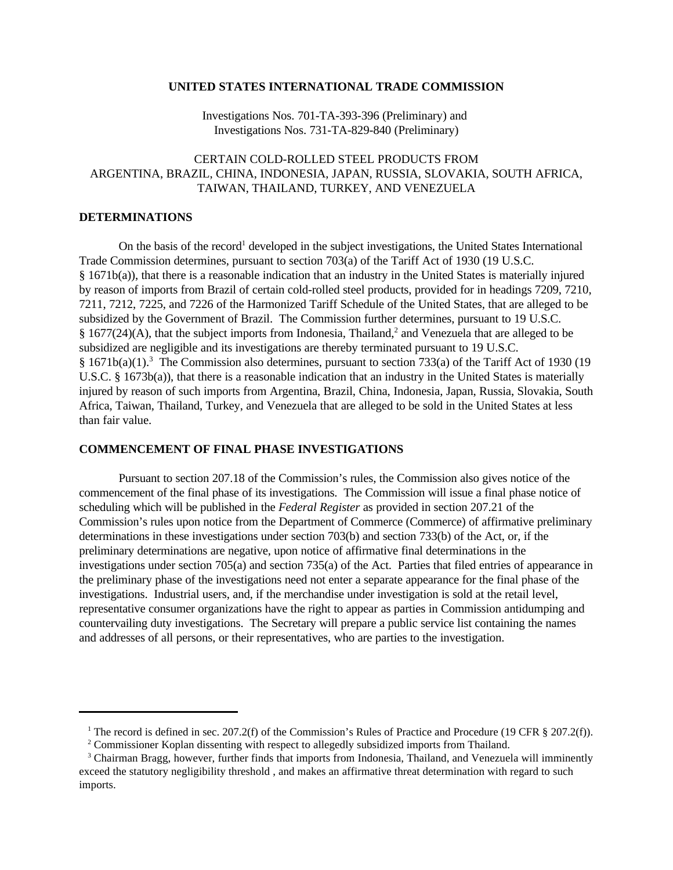#### **UNITED STATES INTERNATIONAL TRADE COMMISSION**

Investigations Nos. 701-TA-393-396 (Preliminary) and Investigations Nos. 731-TA-829-840 (Preliminary)

# CERTAIN COLD-ROLLED STEEL PRODUCTS FROM ARGENTINA, BRAZIL, CHINA, INDONESIA, JAPAN, RUSSIA, SLOVAKIA, SOUTH AFRICA, TAIWAN, THAILAND, TURKEY, AND VENEZUELA

### **DETERMINATIONS**

On the basis of the record<sup>1</sup> developed in the subject investigations, the United States International Trade Commission determines, pursuant to section 703(a) of the Tariff Act of 1930 (19 U.S.C. § 1671b(a)), that there is a reasonable indication that an industry in the United States is materially injured by reason of imports from Brazil of certain cold-rolled steel products, provided for in headings 7209, 7210, 7211, 7212, 7225, and 7226 of the Harmonized Tariff Schedule of the United States, that are alleged to be subsidized by the Government of Brazil. The Commission further determines, pursuant to 19 U.S.C. § 1677(24)(A), that the subject imports from Indonesia, Thailand,<sup>2</sup> and Venezuela that are alleged to be subsidized are negligible and its investigations are thereby terminated pursuant to 19 U.S.C. §  $1671b(a)(1)$ .<sup>3</sup> The Commission also determines, pursuant to section 733(a) of the Tariff Act of 1930 (19 U.S.C. § 1673b(a)), that there is a reasonable indication that an industry in the United States is materially injured by reason of such imports from Argentina, Brazil, China, Indonesia, Japan, Russia, Slovakia, South Africa, Taiwan, Thailand, Turkey, and Venezuela that are alleged to be sold in the United States at less than fair value.

#### **COMMENCEMENT OF FINAL PHASE INVESTIGATIONS**

Pursuant to section 207.18 of the Commission's rules, the Commission also gives notice of the commencement of the final phase of its investigations. The Commission will issue a final phase notice of scheduling which will be published in the *Federal Register* as provided in section 207.21 of the Commission's rules upon notice from the Department of Commerce (Commerce) of affirmative preliminary determinations in these investigations under section 703(b) and section 733(b) of the Act, or, if the preliminary determinations are negative, upon notice of affirmative final determinations in the investigations under section 705(a) and section 735(a) of the Act. Parties that filed entries of appearance in the preliminary phase of the investigations need not enter a separate appearance for the final phase of the investigations. Industrial users, and, if the merchandise under investigation is sold at the retail level, representative consumer organizations have the right to appear as parties in Commission antidumping and countervailing duty investigations. The Secretary will prepare a public service list containing the names and addresses of all persons, or their representatives, who are parties to the investigation.

<sup>&</sup>lt;sup>1</sup> The record is defined in sec. 207.2(f) of the Commission's Rules of Practice and Procedure (19 CFR  $\S 207.2(f)$ ).

 $2^2$  Commissioner Koplan dissenting with respect to allegedly subsidized imports from Thailand.

<sup>&</sup>lt;sup>3</sup> Chairman Bragg, however, further finds that imports from Indonesia, Thailand, and Venezuela will imminently exceed the statutory negligibility threshold , and makes an affirmative threat determination with regard to such imports.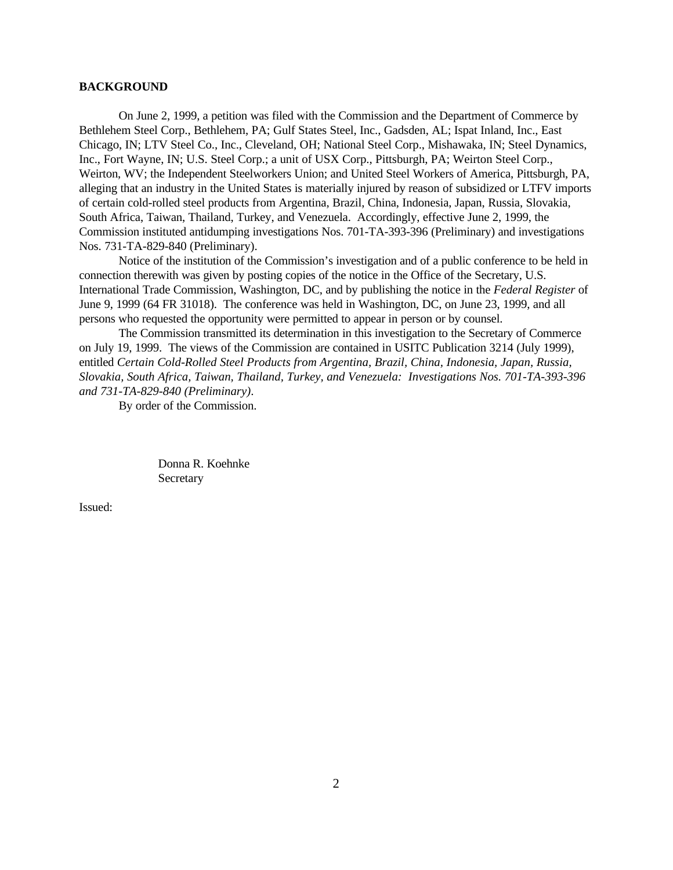#### **BACKGROUND**

On June 2, 1999, a petition was filed with the Commission and the Department of Commerce by Bethlehem Steel Corp., Bethlehem, PA; Gulf States Steel, Inc., Gadsden, AL; Ispat Inland, Inc., East Chicago, IN; LTV Steel Co., Inc., Cleveland, OH; National Steel Corp., Mishawaka, IN; Steel Dynamics, Inc., Fort Wayne, IN; U.S. Steel Corp.; a unit of USX Corp., Pittsburgh, PA; Weirton Steel Corp., Weirton, WV; the Independent Steelworkers Union; and United Steel Workers of America, Pittsburgh, PA, alleging that an industry in the United States is materially injured by reason of subsidized or LTFV imports of certain cold-rolled steel products from Argentina, Brazil, China, Indonesia, Japan, Russia, Slovakia, South Africa, Taiwan, Thailand, Turkey, and Venezuela. Accordingly, effective June 2, 1999, the Commission instituted antidumping investigations Nos. 701-TA-393-396 (Preliminary) and investigations Nos. 731-TA-829-840 (Preliminary).

Notice of the institution of the Commission's investigation and of a public conference to be held in connection therewith was given by posting copies of the notice in the Office of the Secretary, U.S. International Trade Commission, Washington, DC, and by publishing the notice in the *Federal Register* of June 9, 1999 (64 FR 31018). The conference was held in Washington, DC, on June 23, 1999, and all persons who requested the opportunity were permitted to appear in person or by counsel.

The Commission transmitted its determination in this investigation to the Secretary of Commerce on July 19, 1999. The views of the Commission are contained in USITC Publication 3214 (July 1999), entitled *Certain Cold-Rolled Steel Products from Argentina, Brazil, China, Indonesia, Japan, Russia, Slovakia, South Africa, Taiwan, Thailand, Turkey, and Venezuela: Investigations Nos. 701-TA-393-396 and 731-TA-829-840 (Preliminary)*.

By order of the Commission.

Donna R. Koehnke **Secretary** 

Issued: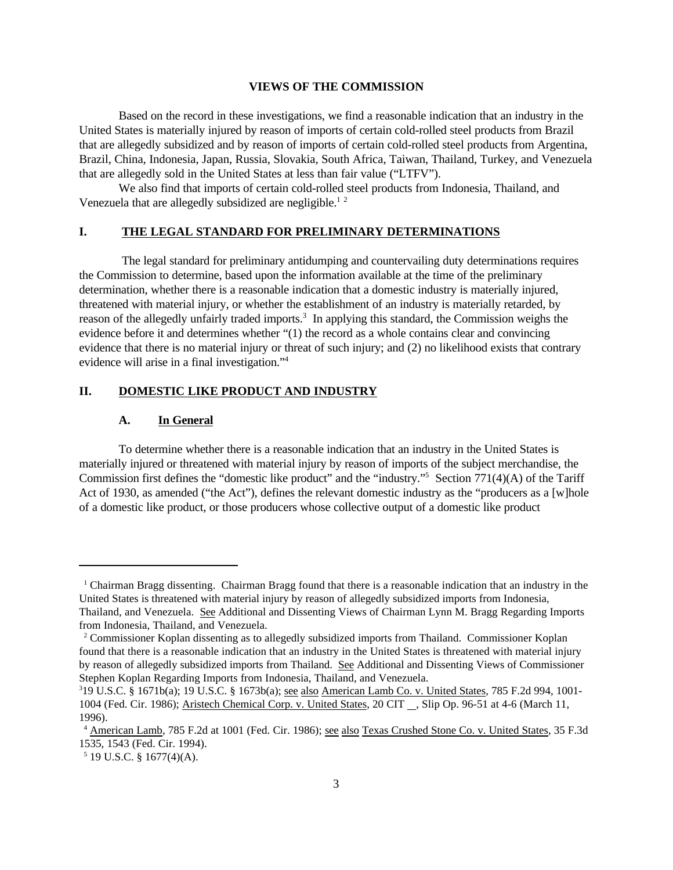#### **VIEWS OF THE COMMISSION**

Based on the record in these investigations, we find a reasonable indication that an industry in the United States is materially injured by reason of imports of certain cold-rolled steel products from Brazil that are allegedly subsidized and by reason of imports of certain cold-rolled steel products from Argentina, Brazil, China, Indonesia, Japan, Russia, Slovakia, South Africa, Taiwan, Thailand, Turkey, and Venezuela that are allegedly sold in the United States at less than fair value ("LTFV").

We also find that imports of certain cold-rolled steel products from Indonesia, Thailand, and Venezuela that are allegedly subsidized are negligible.<sup>12</sup>

### **I. THE LEGAL STANDARD FOR PRELIMINARY DETERMINATIONS**

 The legal standard for preliminary antidumping and countervailing duty determinations requires the Commission to determine, based upon the information available at the time of the preliminary determination, whether there is a reasonable indication that a domestic industry is materially injured, threatened with material injury, or whether the establishment of an industry is materially retarded, by reason of the allegedly unfairly traded imports.<sup>3</sup> In applying this standard, the Commission weighs the evidence before it and determines whether "(1) the record as a whole contains clear and convincing evidence that there is no material injury or threat of such injury; and (2) no likelihood exists that contrary evidence will arise in a final investigation."<sup>4</sup>

### **II. DOMESTIC LIKE PRODUCT AND INDUSTRY**

#### **A. In General**

To determine whether there is a reasonable indication that an industry in the United States is materially injured or threatened with material injury by reason of imports of the subject merchandise, the Commission first defines the "domestic like product" and the "industry."<sup>5</sup> Section 771(4)(A) of the Tariff Act of 1930, as amended ("the Act"), defines the relevant domestic industry as the "producers as a [w]hole of a domestic like product, or those producers whose collective output of a domestic like product

<sup>1</sup> Chairman Bragg dissenting. Chairman Bragg found that there is a reasonable indication that an industry in the United States is threatened with material injury by reason of allegedly subsidized imports from Indonesia, Thailand, and Venezuela. See Additional and Dissenting Views of Chairman Lynn M. Bragg Regarding Imports from Indonesia, Thailand, and Venezuela.

<sup>2</sup> Commissioner Koplan dissenting as to allegedly subsidized imports from Thailand. Commissioner Koplan found that there is a reasonable indication that an industry in the United States is threatened with material injury by reason of allegedly subsidized imports from Thailand. See Additional and Dissenting Views of Commissioner Stephen Koplan Regarding Imports from Indonesia, Thailand, and Venezuela.

<sup>3</sup> 19 U.S.C. § 1671b(a); 19 U.S.C. § 1673b(a); see also American Lamb Co. v. United States, 785 F.2d 994, 1001- 1004 (Fed. Cir. 1986); Aristech Chemical Corp. v. United States, 20 CIT , Slip Op. 96-51 at 4-6 (March 11, 1996).

<sup>4</sup> American Lamb, 785 F.2d at 1001 (Fed. Cir. 1986); see also Texas Crushed Stone Co. v. United States, 35 F.3d 1535, 1543 (Fed. Cir. 1994).

 $5$  19 U.S.C. § 1677(4)(A).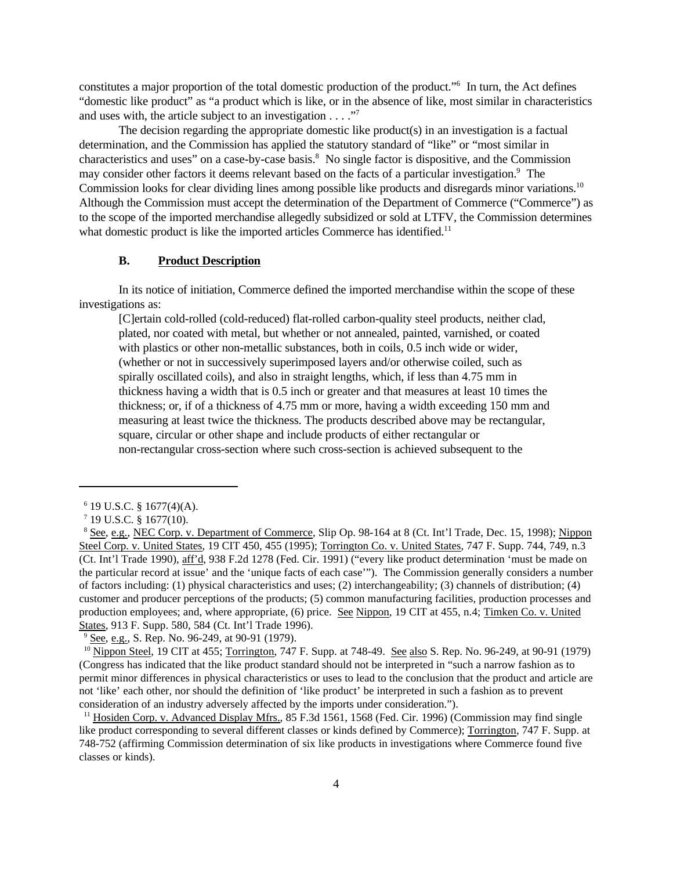constitutes a major proportion of the total domestic production of the product."<sup>6</sup> In turn, the Act defines "domestic like product" as "a product which is like, or in the absence of like, most similar in characteristics and uses with, the article subject to an investigation  $\dots$ ."

The decision regarding the appropriate domestic like product(s) in an investigation is a factual determination, and the Commission has applied the statutory standard of "like" or "most similar in characteristics and uses" on a case-by-case basis.<sup>8</sup> No single factor is dispositive, and the Commission may consider other factors it deems relevant based on the facts of a particular investigation.<sup>9</sup> The Commission looks for clear dividing lines among possible like products and disregards minor variations.<sup>10</sup> Although the Commission must accept the determination of the Department of Commerce ("Commerce") as to the scope of the imported merchandise allegedly subsidized or sold at LTFV, the Commission determines what domestic product is like the imported articles Commerce has identified.<sup>11</sup>

### **B. Product Description**

In its notice of initiation, Commerce defined the imported merchandise within the scope of these investigations as:

[C]ertain cold-rolled (cold-reduced) flat-rolled carbon-quality steel products, neither clad, plated, nor coated with metal, but whether or not annealed, painted, varnished, or coated with plastics or other non-metallic substances, both in coils, 0.5 inch wide or wider, (whether or not in successively superimposed layers and/or otherwise coiled, such as spirally oscillated coils), and also in straight lengths, which, if less than 4.75 mm in thickness having a width that is 0.5 inch or greater and that measures at least 10 times the thickness; or, if of a thickness of 4.75 mm or more, having a width exceeding 150 mm and measuring at least twice the thickness. The products described above may be rectangular, square, circular or other shape and include products of either rectangular or non-rectangular cross-section where such cross-section is achieved subsequent to the

<sup>9</sup> See, e.g., S. Rep. No. 96-249, at 90-91 (1979).

 $6$  19 U.S.C. § 1677(4)(A).

 $7$  19 U.S.C. § 1677(10).

<sup>8</sup> See, e.g., NEC Corp. v. Department of Commerce, Slip Op. 98-164 at 8 (Ct. Int'l Trade, Dec. 15, 1998); Nippon Steel Corp. v. United States, 19 CIT 450, 455 (1995); Torrington Co. v. United States, 747 F. Supp. 744, 749, n.3 (Ct. Int'l Trade 1990), aff'd, 938 F.2d 1278 (Fed. Cir. 1991) ("every like product determination 'must be made on the particular record at issue' and the 'unique facts of each case'"). The Commission generally considers a number of factors including: (1) physical characteristics and uses; (2) interchangeability; (3) channels of distribution; (4) customer and producer perceptions of the products; (5) common manufacturing facilities, production processes and production employees; and, where appropriate, (6) price. See Nippon, 19 CIT at 455, n.4; Timken Co. v. United States, 913 F. Supp. 580, 584 (Ct. Int'l Trade 1996).

<sup>&</sup>lt;sup>10</sup> Nippon Steel, 19 CIT at 455; Torrington, 747 F. Supp. at 748-49. See also S. Rep. No. 96-249, at 90-91 (1979) (Congress has indicated that the like product standard should not be interpreted in "such a narrow fashion as to permit minor differences in physical characteristics or uses to lead to the conclusion that the product and article are not 'like' each other, nor should the definition of 'like product' be interpreted in such a fashion as to prevent consideration of an industry adversely affected by the imports under consideration.").

<sup>&</sup>lt;sup>11</sup> Hosiden Corp. v. Advanced Display Mfrs., 85 F.3d 1561, 1568 (Fed. Cir. 1996) (Commission may find single like product corresponding to several different classes or kinds defined by Commerce); Torrington, 747 F. Supp. at 748-752 (affirming Commission determination of six like products in investigations where Commerce found five classes or kinds).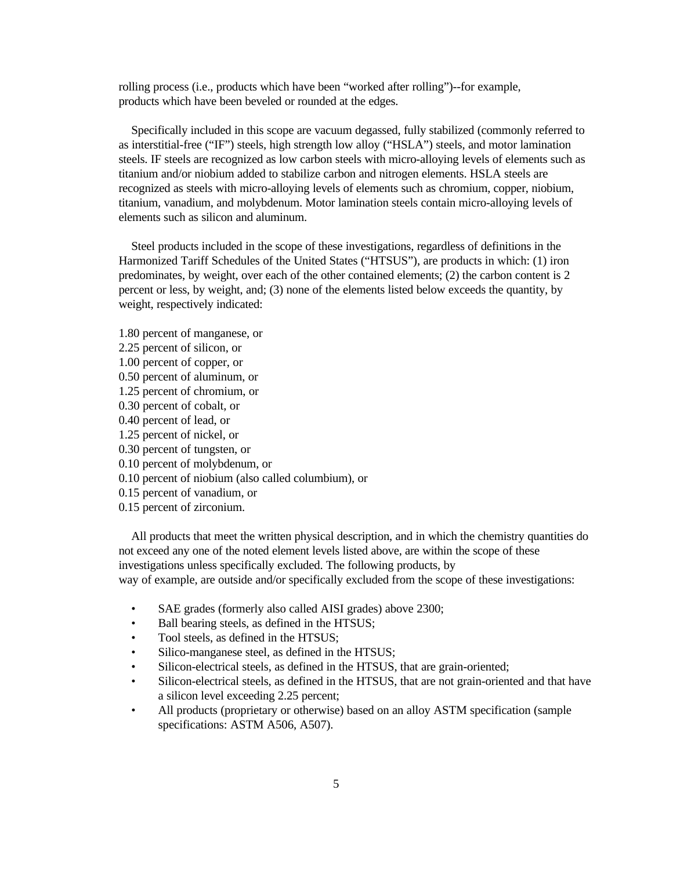rolling process (i.e., products which have been "worked after rolling")--for example, products which have been beveled or rounded at the edges.

 Specifically included in this scope are vacuum degassed, fully stabilized (commonly referred to as interstitial-free ("IF") steels, high strength low alloy ("HSLA") steels, and motor lamination steels. IF steels are recognized as low carbon steels with micro-alloying levels of elements such as titanium and/or niobium added to stabilize carbon and nitrogen elements. HSLA steels are recognized as steels with micro-alloying levels of elements such as chromium, copper, niobium, titanium, vanadium, and molybdenum. Motor lamination steels contain micro-alloying levels of elements such as silicon and aluminum.

 Steel products included in the scope of these investigations, regardless of definitions in the Harmonized Tariff Schedules of the United States ("HTSUS"), are products in which: (1) iron predominates, by weight, over each of the other contained elements; (2) the carbon content is 2 percent or less, by weight, and; (3) none of the elements listed below exceeds the quantity, by weight, respectively indicated:

- 1.80 percent of manganese, or
- 2.25 percent of silicon, or
- 1.00 percent of copper, or
- 0.50 percent of aluminum, or
- 1.25 percent of chromium, or
- 0.30 percent of cobalt, or
- 0.40 percent of lead, or
- 1.25 percent of nickel, or
- 0.30 percent of tungsten, or
- 0.10 percent of molybdenum, or
- 0.10 percent of niobium (also called columbium), or
- 0.15 percent of vanadium, or
- 0.15 percent of zirconium.

 All products that meet the written physical description, and in which the chemistry quantities do not exceed any one of the noted element levels listed above, are within the scope of these investigations unless specifically excluded. The following products, by way of example, are outside and/or specifically excluded from the scope of these investigations:

- SAE grades (formerly also called AISI grades) above 2300;
- Ball bearing steels, as defined in the HTSUS;
- Tool steels, as defined in the HTSUS;
- Silico-manganese steel, as defined in the HTSUS;
- Silicon-electrical steels, as defined in the HTSUS, that are grain-oriented;
- Silicon-electrical steels, as defined in the HTSUS, that are not grain-oriented and that have a silicon level exceeding 2.25 percent;
- All products (proprietary or otherwise) based on an alloy ASTM specification (sample specifications: ASTM A506, A507).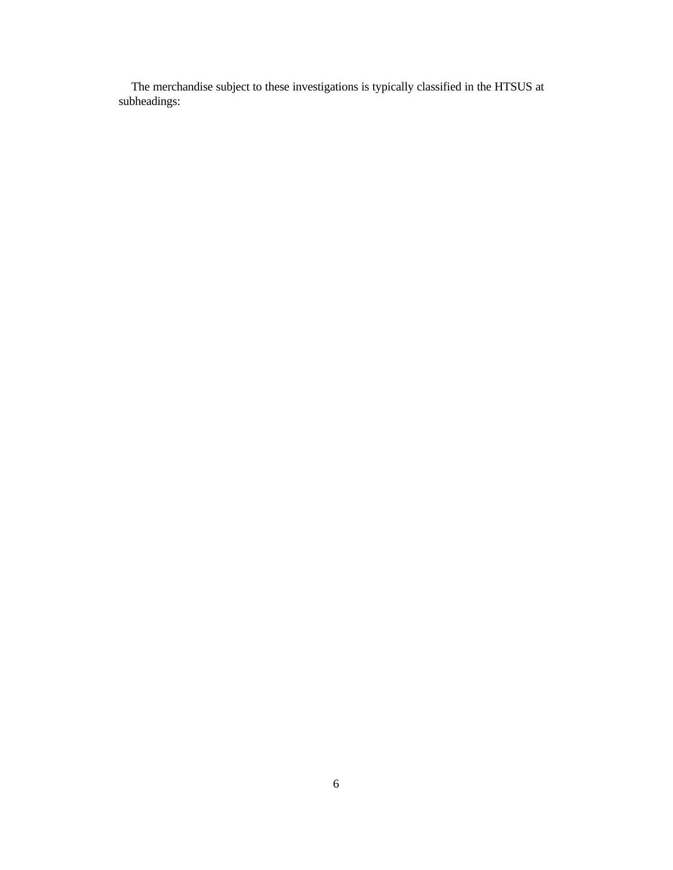The merchandise subject to these investigations is typically classified in the HTSUS at subheadings: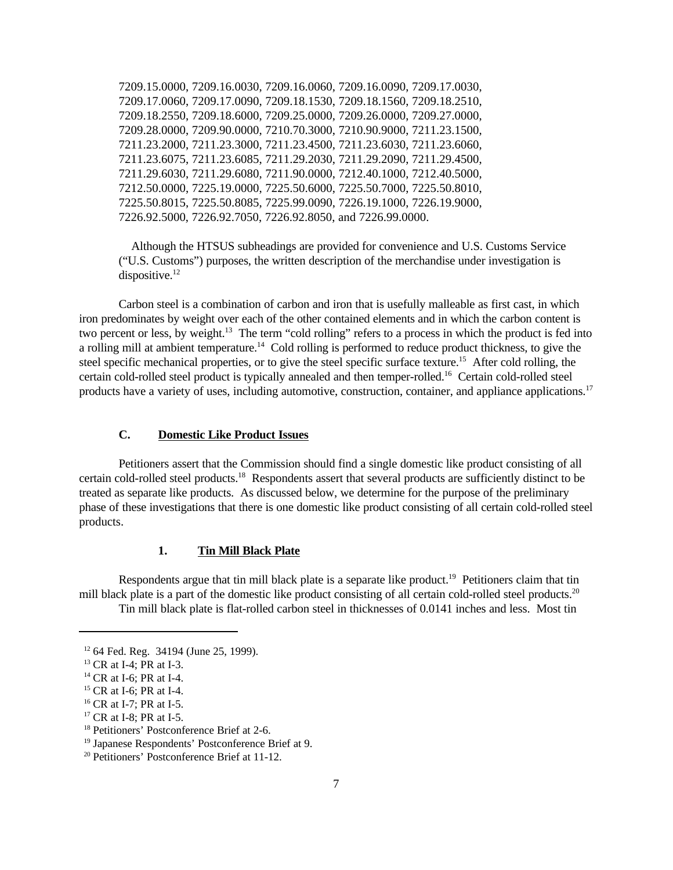7209.15.0000, 7209.16.0030, 7209.16.0060, 7209.16.0090, 7209.17.0030, 7209.17.0060, 7209.17.0090, 7209.18.1530, 7209.18.1560, 7209.18.2510, 7209.18.2550, 7209.18.6000, 7209.25.0000, 7209.26.0000, 7209.27.0000, 7209.28.0000, 7209.90.0000, 7210.70.3000, 7210.90.9000, 7211.23.1500, 7211.23.2000, 7211.23.3000, 7211.23.4500, 7211.23.6030, 7211.23.6060, 7211.23.6075, 7211.23.6085, 7211.29.2030, 7211.29.2090, 7211.29.4500, 7211.29.6030, 7211.29.6080, 7211.90.0000, 7212.40.1000, 7212.40.5000, 7212.50.0000, 7225.19.0000, 7225.50.6000, 7225.50.7000, 7225.50.8010, 7225.50.8015, 7225.50.8085, 7225.99.0090, 7226.19.1000, 7226.19.9000, 7226.92.5000, 7226.92.7050, 7226.92.8050, and 7226.99.0000.

 Although the HTSUS subheadings are provided for convenience and U.S. Customs Service ("U.S. Customs") purposes, the written description of the merchandise under investigation is dispositive. $^{12}$ 

Carbon steel is a combination of carbon and iron that is usefully malleable as first cast, in which iron predominates by weight over each of the other contained elements and in which the carbon content is two percent or less, by weight.<sup>13</sup> The term "cold rolling" refers to a process in which the product is fed into a rolling mill at ambient temperature.<sup>14</sup> Cold rolling is performed to reduce product thickness, to give the steel specific mechanical properties, or to give the steel specific surface texture.<sup>15</sup> After cold rolling, the certain cold-rolled steel product is typically annealed and then temper-rolled.<sup>16</sup> Certain cold-rolled steel products have a variety of uses, including automotive, construction, container, and appliance applications.<sup>17</sup>

# **C. Domestic Like Product Issues**

Petitioners assert that the Commission should find a single domestic like product consisting of all certain cold-rolled steel products.<sup>18</sup> Respondents assert that several products are sufficiently distinct to be treated as separate like products. As discussed below, we determine for the purpose of the preliminary phase of these investigations that there is one domestic like product consisting of all certain cold-rolled steel products.

### **1. Tin Mill Black Plate**

Respondents argue that tin mill black plate is a separate like product.<sup>19</sup> Petitioners claim that tin mill black plate is a part of the domestic like product consisting of all certain cold-rolled steel products.<sup>20</sup> Tin mill black plate is flat-rolled carbon steel in thicknesses of 0.0141 inches and less. Most tin

<sup>12</sup> 64 Fed. Reg. 34194 (June 25, 1999).

<sup>&</sup>lt;sup>13</sup> CR at I-4; PR at I-3.

<sup>&</sup>lt;sup>14</sup> CR at I-6; PR at I-4.

<sup>&</sup>lt;sup>15</sup> CR at I-6; PR at I-4.

<sup>&</sup>lt;sup>16</sup> CR at I-7; PR at I-5.

<sup>&</sup>lt;sup>17</sup> CR at I-8; PR at I-5.

<sup>18</sup> Petitioners' Postconference Brief at 2-6.

<sup>19</sup> Japanese Respondents' Postconference Brief at 9.

<sup>20</sup> Petitioners' Postconference Brief at 11-12.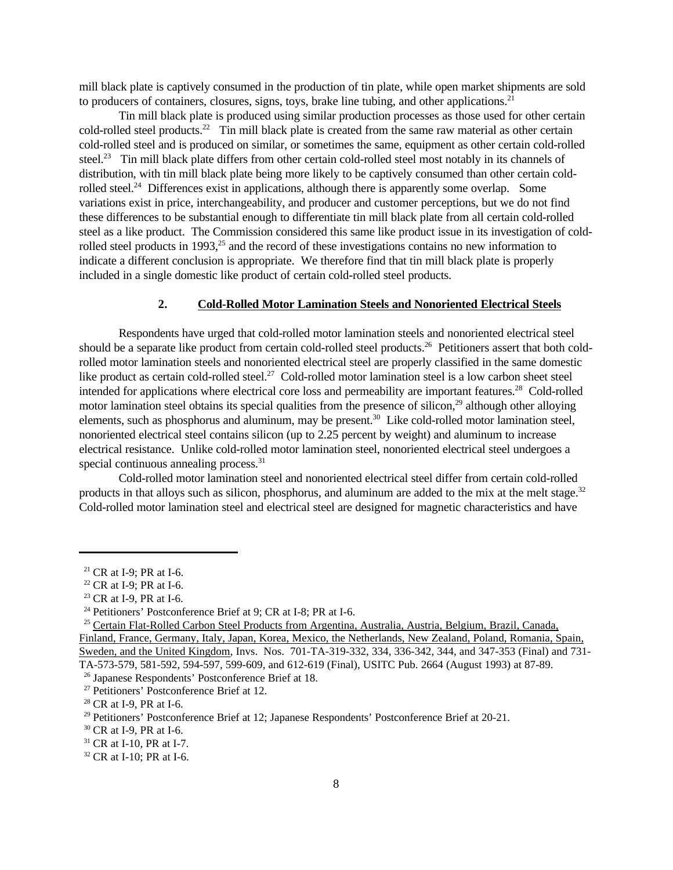mill black plate is captively consumed in the production of tin plate, while open market shipments are sold to producers of containers, closures, signs, toys, brake line tubing, and other applications.<sup>21</sup>

Tin mill black plate is produced using similar production processes as those used for other certain cold-rolled steel products.<sup>22</sup> Tin mill black plate is created from the same raw material as other certain cold-rolled steel and is produced on similar, or sometimes the same, equipment as other certain cold-rolled steel.<sup>23</sup> Tin mill black plate differs from other certain cold-rolled steel most notably in its channels of distribution, with tin mill black plate being more likely to be captively consumed than other certain coldrolled steel.<sup>24</sup> Differences exist in applications, although there is apparently some overlap. Some variations exist in price, interchangeability, and producer and customer perceptions, but we do not find these differences to be substantial enough to differentiate tin mill black plate from all certain cold-rolled steel as a like product. The Commission considered this same like product issue in its investigation of coldrolled steel products in 1993,<sup>25</sup> and the record of these investigations contains no new information to indicate a different conclusion is appropriate. We therefore find that tin mill black plate is properly included in a single domestic like product of certain cold-rolled steel products.

### **2. Cold-Rolled Motor Lamination Steels and Nonoriented Electrical Steels**

Respondents have urged that cold-rolled motor lamination steels and nonoriented electrical steel should be a separate like product from certain cold-rolled steel products.<sup>26</sup> Petitioners assert that both coldrolled motor lamination steels and nonoriented electrical steel are properly classified in the same domestic like product as certain cold-rolled steel.<sup>27</sup> Cold-rolled motor lamination steel is a low carbon sheet steel intended for applications where electrical core loss and permeability are important features.<sup>28</sup> Cold-rolled motor lamination steel obtains its special qualities from the presence of silicon.<sup>29</sup> although other alloying elements, such as phosphorus and aluminum, may be present.<sup>30</sup> Like cold-rolled motor lamination steel, nonoriented electrical steel contains silicon (up to 2.25 percent by weight) and aluminum to increase electrical resistance. Unlike cold-rolled motor lamination steel, nonoriented electrical steel undergoes a special continuous annealing process.<sup>31</sup>

Cold-rolled motor lamination steel and nonoriented electrical steel differ from certain cold-rolled products in that alloys such as silicon, phosphorus, and aluminum are added to the mix at the melt stage.<sup>32</sup> Cold-rolled motor lamination steel and electrical steel are designed for magnetic characteristics and have

 $21$  CR at I-9; PR at I-6.

<sup>22</sup> CR at I-9; PR at I-6.

<sup>&</sup>lt;sup>23</sup> CR at I-9, PR at I-6.

<sup>24</sup> Petitioners' Postconference Brief at 9; CR at I-8; PR at I-6.

<sup>25</sup> Certain Flat-Rolled Carbon Steel Products from Argentina, Australia, Austria, Belgium, Brazil, Canada, Finland, France, Germany, Italy, Japan, Korea, Mexico, the Netherlands, New Zealand, Poland, Romania, Spain, Sweden, and the United Kingdom, Invs. Nos. 701-TA-319-332, 334, 336-342, 344, and 347-353 (Final) and 731-

TA-573-579, 581-592, 594-597, 599-609, and 612-619 (Final), USITC Pub. 2664 (August 1993) at 87-89.

<sup>26</sup> Japanese Respondents' Postconference Brief at 18.

<sup>27</sup> Petitioners' Postconference Brief at 12.

<sup>28</sup> CR at I-9, PR at I-6.

<sup>29</sup> Petitioners' Postconference Brief at 12; Japanese Respondents' Postconference Brief at 20-21.

<sup>30</sup> CR at I-9, PR at I-6.

<sup>&</sup>lt;sup>31</sup> CR at I-10, PR at I-7.

<sup>&</sup>lt;sup>32</sup> CR at I-10; PR at I-6.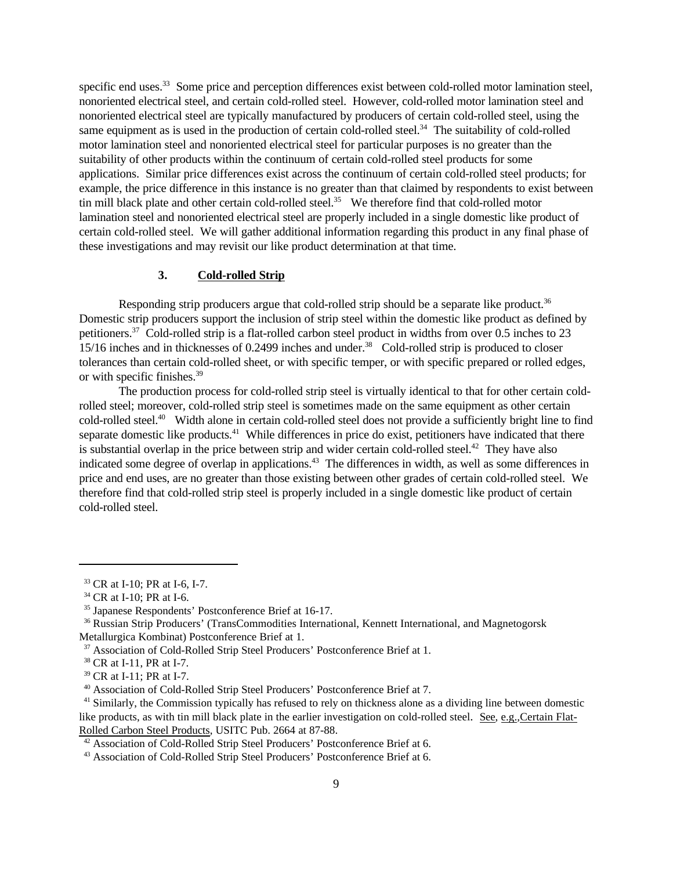specific end uses.<sup>33</sup> Some price and perception differences exist between cold-rolled motor lamination steel, nonoriented electrical steel, and certain cold-rolled steel. However, cold-rolled motor lamination steel and nonoriented electrical steel are typically manufactured by producers of certain cold-rolled steel, using the same equipment as is used in the production of certain cold-rolled steel.<sup>34</sup> The suitability of cold-rolled motor lamination steel and nonoriented electrical steel for particular purposes is no greater than the suitability of other products within the continuum of certain cold-rolled steel products for some applications. Similar price differences exist across the continuum of certain cold-rolled steel products; for example, the price difference in this instance is no greater than that claimed by respondents to exist between tin mill black plate and other certain cold-rolled steel.<sup>35</sup> We therefore find that cold-rolled motor lamination steel and nonoriented electrical steel are properly included in a single domestic like product of certain cold-rolled steel. We will gather additional information regarding this product in any final phase of these investigations and may revisit our like product determination at that time.

#### **3. Cold-rolled Strip**

Responding strip producers argue that cold-rolled strip should be a separate like product.<sup>36</sup> Domestic strip producers support the inclusion of strip steel within the domestic like product as defined by petitioners.<sup>37</sup> Cold-rolled strip is a flat-rolled carbon steel product in widths from over 0.5 inches to 23 15/16 inches and in thicknesses of 0.2499 inches and under.<sup>38</sup> Cold-rolled strip is produced to closer tolerances than certain cold-rolled sheet, or with specific temper, or with specific prepared or rolled edges, or with specific finishes.<sup>39</sup>

The production process for cold-rolled strip steel is virtually identical to that for other certain coldrolled steel; moreover, cold-rolled strip steel is sometimes made on the same equipment as other certain cold-rolled steel.<sup>40</sup> Width alone in certain cold-rolled steel does not provide a sufficiently bright line to find separate domestic like products.<sup>41</sup> While differences in price do exist, petitioners have indicated that there is substantial overlap in the price between strip and wider certain cold-rolled steel.<sup>42</sup> They have also indicated some degree of overlap in applications.<sup>43</sup> The differences in width, as well as some differences in price and end uses, are no greater than those existing between other grades of certain cold-rolled steel. We therefore find that cold-rolled strip steel is properly included in a single domestic like product of certain cold-rolled steel.

<sup>33</sup> CR at I-10; PR at I-6, I-7.

<sup>&</sup>lt;sup>34</sup> CR at I-10; PR at I-6.

<sup>35</sup> Japanese Respondents' Postconference Brief at 16-17.

<sup>36</sup> Russian Strip Producers' (TransCommodities International, Kennett International, and Magnetogorsk Metallurgica Kombinat) Postconference Brief at 1.

<sup>&</sup>lt;sup>37</sup> Association of Cold-Rolled Strip Steel Producers' Postconference Brief at 1.

<sup>38</sup> CR at I-11, PR at I-7.

<sup>39</sup> CR at I-11; PR at I-7.

<sup>40</sup> Association of Cold-Rolled Strip Steel Producers' Postconference Brief at 7.

<sup>&</sup>lt;sup>41</sup> Similarly, the Commission typically has refused to rely on thickness alone as a dividing line between domestic like products, as with tin mill black plate in the earlier investigation on cold-rolled steel. See, e.g.*,*Certain Flat-Rolled Carbon Steel Products, USITC Pub. 2664 at 87-88.

<sup>42</sup> Association of Cold-Rolled Strip Steel Producers' Postconference Brief at 6.

<sup>&</sup>lt;sup>43</sup> Association of Cold-Rolled Strip Steel Producers' Postconference Brief at 6.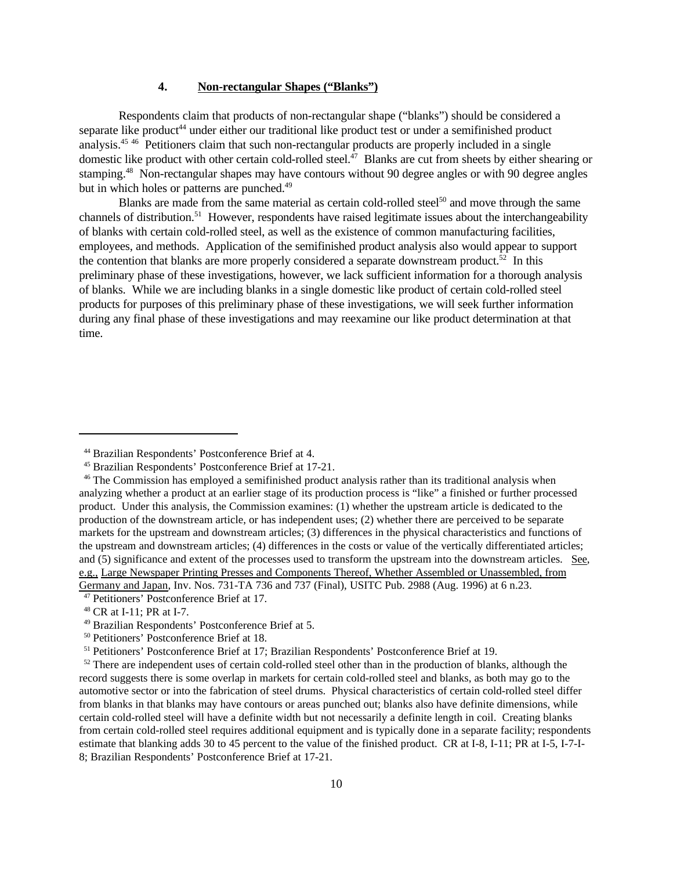#### **4. Non-rectangular Shapes ("Blanks")**

Respondents claim that products of non-rectangular shape ("blanks") should be considered a separate like product<sup>44</sup> under either our traditional like product test or under a semifinished product analysis.<sup>45</sup> <sup>46</sup> Petitioners claim that such non-rectangular products are properly included in a single domestic like product with other certain cold-rolled steel. $^{47}$  Blanks are cut from sheets by either shearing or stamping.<sup>48</sup> Non-rectangular shapes may have contours without 90 degree angles or with 90 degree angles but in which holes or patterns are punched.<sup>49</sup>

Blanks are made from the same material as certain cold-rolled steel<sup>50</sup> and move through the same channels of distribution.<sup>51</sup> However, respondents have raised legitimate issues about the interchangeability of blanks with certain cold-rolled steel, as well as the existence of common manufacturing facilities, employees, and methods. Application of the semifinished product analysis also would appear to support the contention that blanks are more properly considered a separate downstream product.<sup>52</sup> In this preliminary phase of these investigations, however, we lack sufficient information for a thorough analysis of blanks. While we are including blanks in a single domestic like product of certain cold-rolled steel products for purposes of this preliminary phase of these investigations, we will seek further information during any final phase of these investigations and may reexamine our like product determination at that time.

<sup>44</sup> Brazilian Respondents' Postconference Brief at 4.

<sup>45</sup> Brazilian Respondents' Postconference Brief at 17-21.

<sup>46</sup> The Commission has employed a semifinished product analysis rather than its traditional analysis when analyzing whether a product at an earlier stage of its production process is "like" a finished or further processed product. Under this analysis, the Commission examines: (1) whether the upstream article is dedicated to the production of the downstream article, or has independent uses; (2) whether there are perceived to be separate markets for the upstream and downstream articles; (3) differences in the physical characteristics and functions of the upstream and downstream articles; (4) differences in the costs or value of the vertically differentiated articles; and (5) significance and extent of the processes used to transform the upstream into the downstream articles. See, e.g., Large Newspaper Printing Presses and Components Thereof, Whether Assembled or Unassembled, from Germany and Japan, Inv. Nos. 731-TA 736 and 737 (Final), USITC Pub. 2988 (Aug. 1996) at 6 n.23.

<sup>47</sup> Petitioners' Postconference Brief at 17.

<sup>48</sup> CR at I-11; PR at I-7.

<sup>49</sup> Brazilian Respondents' Postconference Brief at 5.

<sup>50</sup> Petitioners' Postconference Brief at 18.

<sup>51</sup> Petitioners' Postconference Brief at 17; Brazilian Respondents' Postconference Brief at 19.

 $52$  There are independent uses of certain cold-rolled steel other than in the production of blanks, although the record suggests there is some overlap in markets for certain cold-rolled steel and blanks, as both may go to the automotive sector or into the fabrication of steel drums. Physical characteristics of certain cold-rolled steel differ from blanks in that blanks may have contours or areas punched out; blanks also have definite dimensions, while certain cold-rolled steel will have a definite width but not necessarily a definite length in coil. Creating blanks from certain cold-rolled steel requires additional equipment and is typically done in a separate facility; respondents estimate that blanking adds 30 to 45 percent to the value of the finished product. CR at I-8, I-11; PR at I-5, I-7-I-8; Brazilian Respondents' Postconference Brief at 17-21.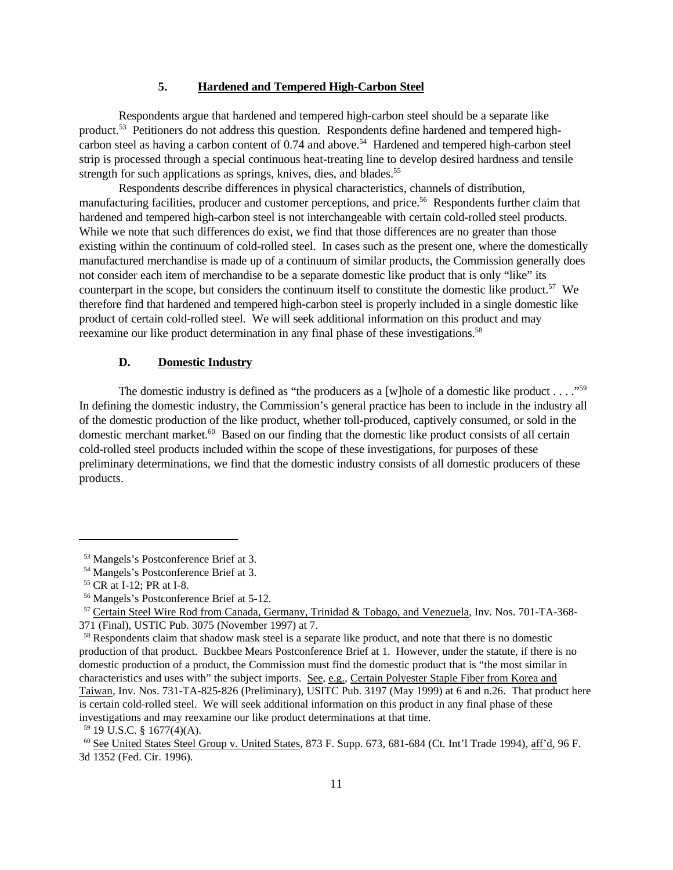### **5. Hardened and Tempered High-Carbon Steel**

Respondents argue that hardened and tempered high-carbon steel should be a separate like product.53 Petitioners do not address this question. Respondents define hardened and tempered highcarbon steel as having a carbon content of  $0.74$  and above.<sup>54</sup> Hardened and tempered high-carbon steel strip is processed through a special continuous heat-treating line to develop desired hardness and tensile strength for such applications as springs, knives, dies, and blades.<sup>55</sup>

Respondents describe differences in physical characteristics, channels of distribution, manufacturing facilities, producer and customer perceptions, and price.<sup>56</sup> Respondents further claim that hardened and tempered high-carbon steel is not interchangeable with certain cold-rolled steel products. While we note that such differences do exist, we find that those differences are no greater than those existing within the continuum of cold-rolled steel. In cases such as the present one, where the domestically manufactured merchandise is made up of a continuum of similar products, the Commission generally does not consider each item of merchandise to be a separate domestic like product that is only "like" its counterpart in the scope, but considers the continuum itself to constitute the domestic like product.<sup>57</sup> We therefore find that hardened and tempered high-carbon steel is properly included in a single domestic like product of certain cold-rolled steel. We will seek additional information on this product and may reexamine our like product determination in any final phase of these investigations.<sup>58</sup>

### **D. Domestic Industry**

The domestic industry is defined as "the producers as a [w]hole of a domestic like product . . . ."<sup>59</sup> In defining the domestic industry, the Commission's general practice has been to include in the industry all of the domestic production of the like product, whether toll-produced, captively consumed, or sold in the domestic merchant market.<sup>60</sup> Based on our finding that the domestic like product consists of all certain cold-rolled steel products included within the scope of these investigations, for purposes of these preliminary determinations, we find that the domestic industry consists of all domestic producers of these products.

<sup>53</sup> Mangels's Postconference Brief at 3.

<sup>54</sup> Mangels's Postconference Brief at 3.

<sup>55</sup> CR at I-12; PR at I-8.

<sup>56</sup> Mangels's Postconference Brief at 5-12.

<sup>57</sup> Certain Steel Wire Rod from Canada, Germany, Trinidad & Tobago, and Venezuela, Inv. Nos. 701-TA-368- 371 (Final), USTIC Pub. 3075 (November 1997) at 7.

<sup>&</sup>lt;sup>58</sup> Respondents claim that shadow mask steel is a separate like product, and note that there is no domestic production of that product. Buckbee Mears Postconference Brief at 1. However, under the statute, if there is no domestic production of a product, the Commission must find the domestic product that is "the most similar in characteristics and uses with" the subject imports. See, e.g., Certain Polyester Staple Fiber from Korea and Taiwan, Inv. Nos. 731-TA-825-826 (Preliminary), USITC Pub. 3197 (May 1999) at 6 and n.26. That product here is certain cold-rolled steel. We will seek additional information on this product in any final phase of these investigations and may reexamine our like product determinations at that time.

 $59$  19 U.S.C. § 1677(4)(A).

<sup>60</sup> See United States Steel Group v. United States, 873 F. Supp. 673, 681-684 (Ct. Int'l Trade 1994), aff'd, 96 F. 3d 1352 (Fed. Cir. 1996).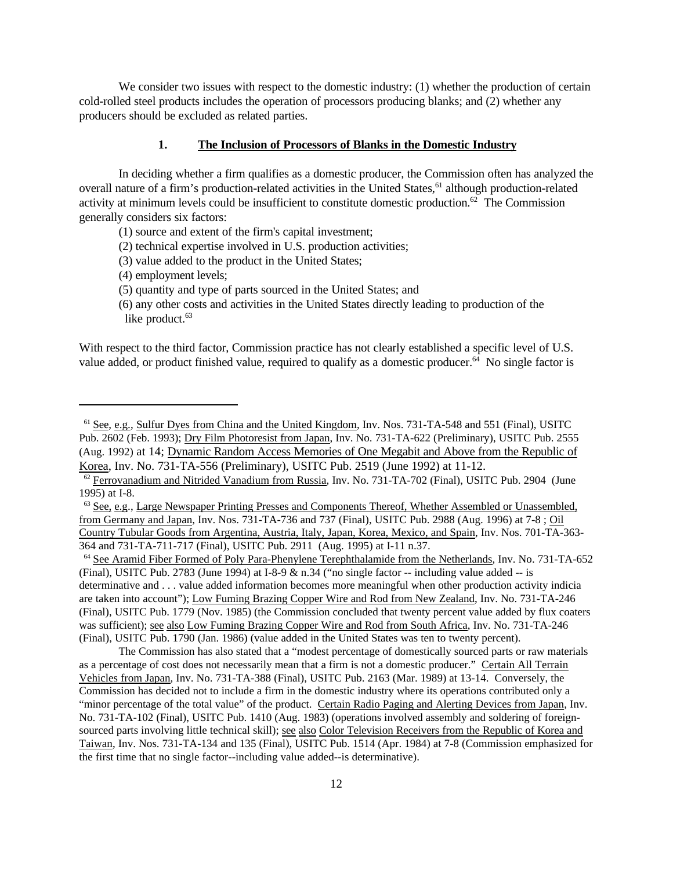We consider two issues with respect to the domestic industry: (1) whether the production of certain cold-rolled steel products includes the operation of processors producing blanks; and (2) whether any producers should be excluded as related parties.

### **1. The Inclusion of Processors of Blanks in the Domestic Industry**

In deciding whether a firm qualifies as a domestic producer, the Commission often has analyzed the overall nature of a firm's production-related activities in the United States,<sup>61</sup> although production-related activity at minimum levels could be insufficient to constitute domestic production.<sup>62</sup> The Commission generally considers six factors:

- (1) source and extent of the firm's capital investment;
- (2) technical expertise involved in U.S. production activities;
- (3) value added to the product in the United States;
- (4) employment levels;
- (5) quantity and type of parts sourced in the United States; and
- (6) any other costs and activities in the United States directly leading to production of the like product. $63$

With respect to the third factor, Commission practice has not clearly established a specific level of U.S. value added, or product finished value, required to qualify as a domestic producer.64 No single factor is

<sup>61</sup> See, e.g., Sulfur Dyes from China and the United Kingdom, Inv. Nos. 731-TA-548 and 551 (Final), USITC Pub. 2602 (Feb. 1993); Dry Film Photoresist from Japan, Inv. No. 731-TA-622 (Preliminary), USITC Pub. 2555 (Aug. 1992) at 14; Dynamic Random Access Memories of One Megabit and Above from the Republic of Korea, Inv. No. 731-TA-556 (Preliminary), USITC Pub. 2519 (June 1992) at 11-12.

 $62$  Ferrovanadium and Nitrided Vanadium from Russia, Inv. No. 731-TA-702 (Final), USITC Pub. 2904 (June 1995) at I-8.

<sup>&</sup>lt;sup>63</sup> See, e.g., Large Newspaper Printing Presses and Components Thereof, Whether Assembled or Unassembled, from Germany and Japan, Inv. Nos. 731-TA-736 and 737 (Final), USITC Pub. 2988 (Aug. 1996) at 7-8 ; Oil Country Tubular Goods from Argentina, Austria, Italy, Japan, Korea, Mexico, and Spain, Inv. Nos. 701-TA-363- 364 and 731-TA-711-717 (Final), USITC Pub. 2911 (Aug. 1995) at I-11 n.37.

<sup>64</sup> See Aramid Fiber Formed of Poly Para-Phenylene Terephthalamide from the Netherlands, Inv. No. 731-TA-652 (Final), USITC Pub. 2783 (June 1994) at I-8-9 & n.34 ("no single factor -- including value added -- is determinative and . . . value added information becomes more meaningful when other production activity indicia are taken into account"); Low Fuming Brazing Copper Wire and Rod from New Zealand, Inv. No. 731-TA-246 (Final), USITC Pub. 1779 (Nov. 1985) (the Commission concluded that twenty percent value added by flux coaters was sufficient); see also Low Fuming Brazing Copper Wire and Rod from South Africa, Inv. No. 731-TA-246 (Final), USITC Pub. 1790 (Jan. 1986) (value added in the United States was ten to twenty percent).

The Commission has also stated that a "modest percentage of domestically sourced parts or raw materials as a percentage of cost does not necessarily mean that a firm is not a domestic producer." Certain All Terrain Vehicles from Japan, Inv. No. 731-TA-388 (Final), USITC Pub. 2163 (Mar. 1989) at 13-14. Conversely, the Commission has decided not to include a firm in the domestic industry where its operations contributed only a "minor percentage of the total value" of the product. Certain Radio Paging and Alerting Devices from Japan, Inv. No. 731-TA-102 (Final), USITC Pub. 1410 (Aug. 1983) (operations involved assembly and soldering of foreignsourced parts involving little technical skill); see also Color Television Receivers from the Republic of Korea and Taiwan, Inv. Nos. 731-TA-134 and 135 (Final), USITC Pub. 1514 (Apr. 1984) at 7-8 (Commission emphasized for the first time that no single factor--including value added--is determinative).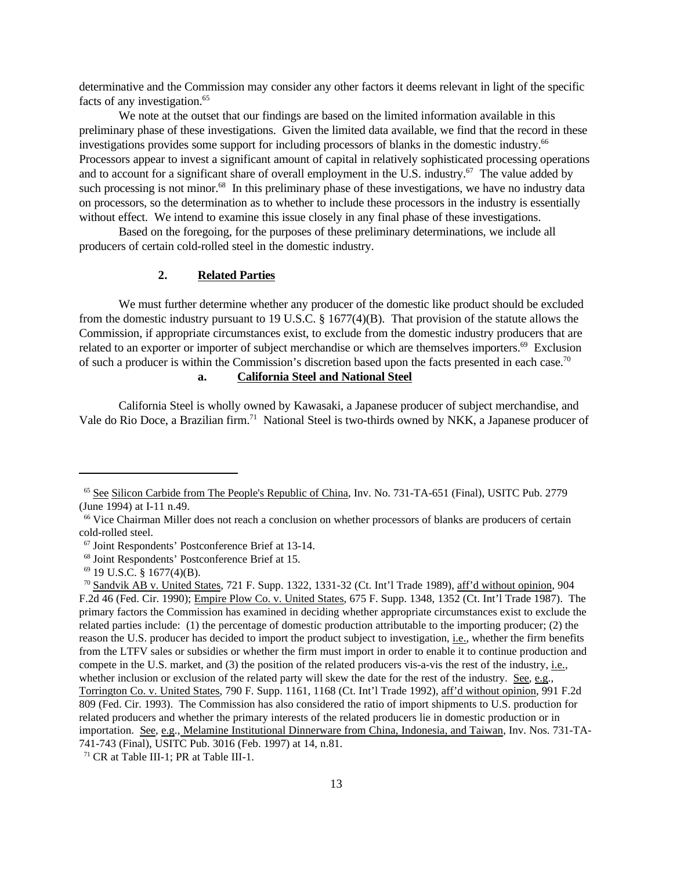determinative and the Commission may consider any other factors it deems relevant in light of the specific facts of any investigation.<sup>65</sup>

We note at the outset that our findings are based on the limited information available in this preliminary phase of these investigations. Given the limited data available, we find that the record in these investigations provides some support for including processors of blanks in the domestic industry.<sup>66</sup> Processors appear to invest a significant amount of capital in relatively sophisticated processing operations and to account for a significant share of overall employment in the U.S. industry.<sup>67</sup> The value added by such processing is not minor.<sup>68</sup> In this preliminary phase of these investigations, we have no industry data on processors, so the determination as to whether to include these processors in the industry is essentially without effect. We intend to examine this issue closely in any final phase of these investigations.

Based on the foregoing, for the purposes of these preliminary determinations, we include all producers of certain cold-rolled steel in the domestic industry.

#### **2. Related Parties**

We must further determine whether any producer of the domestic like product should be excluded from the domestic industry pursuant to 19 U.S.C. § 1677(4)(B). That provision of the statute allows the Commission, if appropriate circumstances exist, to exclude from the domestic industry producers that are related to an exporter or importer of subject merchandise or which are themselves importers.<sup>69</sup> Exclusion of such a producer is within the Commission's discretion based upon the facts presented in each case.<sup>70</sup>

# **a. California Steel and National Steel**

California Steel is wholly owned by Kawasaki, a Japanese producer of subject merchandise, and Vale do Rio Doce, a Brazilian firm.<sup>71</sup> National Steel is two-thirds owned by NKK, a Japanese producer of

<sup>65</sup> See Silicon Carbide from The People's Republic of China, Inv. No. 731-TA-651 (Final), USITC Pub. 2779 (June 1994) at I-11 n.49.

<sup>&</sup>lt;sup>66</sup> Vice Chairman Miller does not reach a conclusion on whether processors of blanks are producers of certain cold-rolled steel.

<sup>67</sup> Joint Respondents' Postconference Brief at 13-14.

<sup>68</sup> Joint Respondents' Postconference Brief at 15.

 $69$  19 U.S.C. § 1677(4)(B).

<sup>70</sup> Sandvik AB v. United States, 721 F. Supp. 1322, 1331-32 (Ct. Int'l Trade 1989), aff'd without opinion, 904 F.2d 46 (Fed. Cir. 1990); Empire Plow Co. v. United States, 675 F. Supp. 1348, 1352 (Ct. Int'l Trade 1987). The primary factors the Commission has examined in deciding whether appropriate circumstances exist to exclude the related parties include: (1) the percentage of domestic production attributable to the importing producer; (2) the reason the U.S. producer has decided to import the product subject to investigation, i.e., whether the firm benefits from the LTFV sales or subsidies or whether the firm must import in order to enable it to continue production and compete in the U.S. market, and (3) the position of the related producers vis-a-vis the rest of the industry, i.e., whether inclusion or exclusion of the related party will skew the date for the rest of the industry. See, e.g., Torrington Co. v. United States, 790 F. Supp. 1161, 1168 (Ct. Int'l Trade 1992), aff'd without opinion, 991 F.2d 809 (Fed. Cir. 1993). The Commission has also considered the ratio of import shipments to U.S. production for related producers and whether the primary interests of the related producers lie in domestic production or in importation. See, e.g., Melamine Institutional Dinnerware from China, Indonesia, and Taiwan, Inv. Nos. 731-TA-741-743 (Final), USITC Pub. 3016 (Feb. 1997) at 14, n.81.

<sup>71</sup> CR at Table III-1; PR at Table III-1.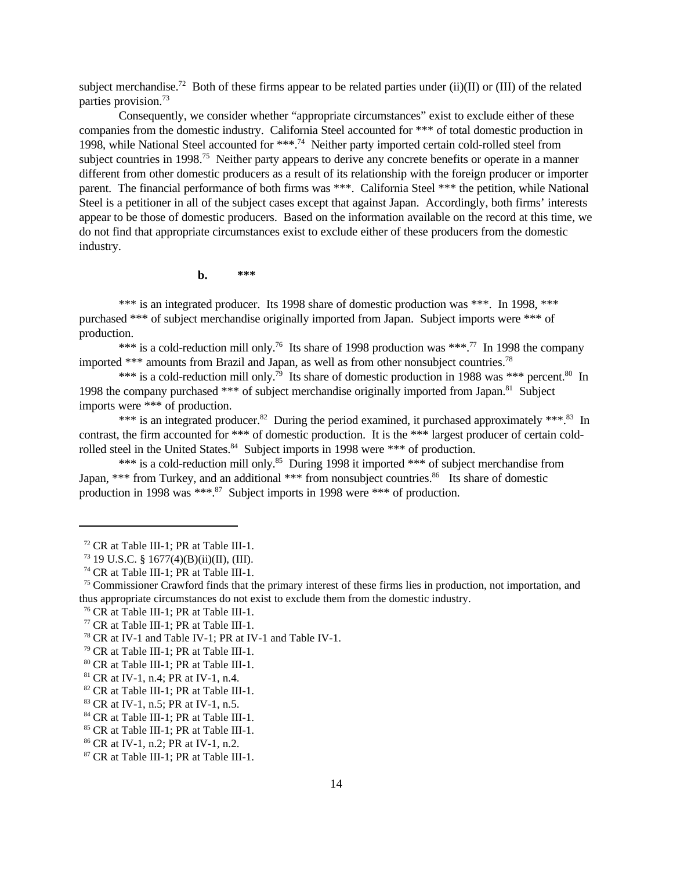subject merchandise.<sup>72</sup> Both of these firms appear to be related parties under (ii)(II) or (III) of the related parties provision.<sup>73</sup>

Consequently, we consider whether "appropriate circumstances" exist to exclude either of these companies from the domestic industry. California Steel accounted for \*\*\* of total domestic production in 1998, while National Steel accounted for \*\*\*.<sup>74</sup> Neither party imported certain cold-rolled steel from subiect countries in 1998.<sup>75</sup> Neither party appears to derive any concrete benefits or operate in a manner different from other domestic producers as a result of its relationship with the foreign producer or importer parent. The financial performance of both firms was \*\*\*. California Steel \*\*\* the petition, while National Steel is a petitioner in all of the subject cases except that against Japan. Accordingly, both firms' interests appear to be those of domestic producers. Based on the information available on the record at this time, we do not find that appropriate circumstances exist to exclude either of these producers from the domestic industry.

**b. \*\*\***

\*\*\* is an integrated producer. Its 1998 share of domestic production was \*\*\*. In 1998, \*\*\* purchased \*\*\* of subject merchandise originally imported from Japan. Subject imports were \*\*\* of production.

\*\*\* is a cold-reduction mill only.<sup>76</sup> Its share of 1998 production was \*\*\*.<sup>77</sup> In 1998 the company imported \*\*\* amounts from Brazil and Japan, as well as from other nonsubject countries.<sup>78</sup>

\*\*\* is a cold-reduction mill only.<sup>79</sup> Its share of domestic production in 1988 was \*\*\* percent.<sup>80</sup> In 1998 the company purchased \*\*\* of subject merchandise originally imported from Japan.<sup>81</sup> Subject imports were \*\*\* of production.

\*\*\* is an integrated producer.<sup>82</sup> During the period examined, it purchased approximately \*\*\*.<sup>83</sup> In contrast, the firm accounted for \*\*\* of domestic production. It is the \*\*\* largest producer of certain coldrolled steel in the United States.<sup>84</sup> Subject imports in 1998 were \*\*\* of production.

\*\*\* is a cold-reduction mill only.<sup>85</sup> During 1998 it imported \*\*\* of subject merchandise from Japan, \*\*\* from Turkey, and an additional \*\*\* from nonsubject countries.<sup>86</sup> Its share of domestic production in 1998 was \*\*\*.<sup>87</sup> Subject imports in 1998 were \*\*\* of production.

<sup>72</sup> CR at Table III-1; PR at Table III-1.

 $^{73}$  19 U.S.C. § 1677(4)(B)(ii)(II), (III).

<sup>74</sup> CR at Table III-1; PR at Table III-1.

<sup>&</sup>lt;sup>75</sup> Commissioner Crawford finds that the primary interest of these firms lies in production, not importation, and thus appropriate circumstances do not exist to exclude them from the domestic industry.

<sup>76</sup> CR at Table III-1; PR at Table III-1.

<sup>77</sup> CR at Table III-1; PR at Table III-1.

<sup>78</sup> CR at IV-1 and Table IV-1; PR at IV-1 and Table IV-1.

<sup>79</sup> CR at Table III-1; PR at Table III-1.

<sup>80</sup> CR at Table III-1; PR at Table III-1.

<sup>81</sup> CR at IV-1, n.4; PR at IV-1, n.4.

<sup>82</sup> CR at Table III-1; PR at Table III-1.

<sup>&</sup>lt;sup>83</sup> CR at IV-1, n.5; PR at IV-1, n.5.

<sup>84</sup> CR at Table III-1; PR at Table III-1.

<sup>85</sup> CR at Table III-1; PR at Table III-1.

<sup>86</sup> CR at IV-1, n.2; PR at IV-1, n.2.

<sup>87</sup> CR at Table III-1; PR at Table III-1.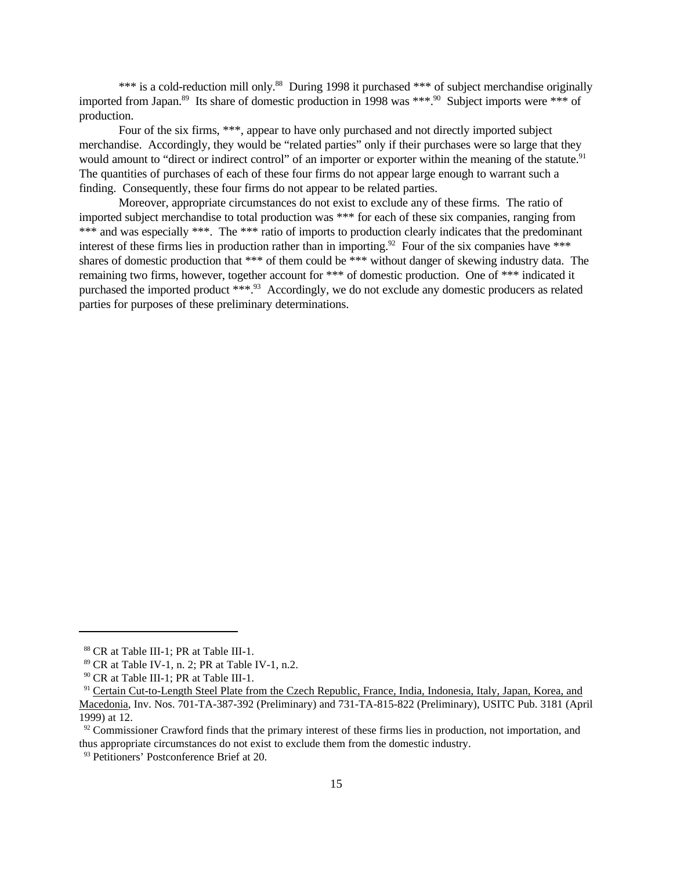\*\*\* is a cold-reduction mill only.<sup>88</sup> During 1998 it purchased \*\*\* of subject merchandise originally imported from Japan.<sup>89</sup> Its share of domestic production in 1998 was \*\*\*.<sup>90</sup> Subject imports were \*\*\* of production.

Four of the six firms, \*\*\*, appear to have only purchased and not directly imported subject merchandise. Accordingly, they would be "related parties" only if their purchases were so large that they would amount to "direct or indirect control" of an importer or exporter within the meaning of the statute.<sup>91</sup> The quantities of purchases of each of these four firms do not appear large enough to warrant such a finding. Consequently, these four firms do not appear to be related parties.

Moreover, appropriate circumstances do not exist to exclude any of these firms. The ratio of imported subject merchandise to total production was \*\*\* for each of these six companies, ranging from \*\*\* and was especially \*\*\*. The \*\*\* ratio of imports to production clearly indicates that the predominant interest of these firms lies in production rather than in importing.<sup>92</sup> Four of the six companies have \*\*\* shares of domestic production that \*\*\* of them could be \*\*\* without danger of skewing industry data. The remaining two firms, however, together account for \*\*\* of domestic production. One of \*\*\* indicated it purchased the imported product \*\*\*.93 Accordingly, we do not exclude any domestic producers as related parties for purposes of these preliminary determinations.

<sup>88</sup> CR at Table III-1; PR at Table III-1.

<sup>89</sup> CR at Table IV-1, n. 2; PR at Table IV-1, n.2.

<sup>90</sup> CR at Table III-1; PR at Table III-1.

<sup>&</sup>lt;sup>91</sup> Certain Cut-to-Length Steel Plate from the Czech Republic, France, India, Indonesia, Italy, Japan, Korea, and Macedonia, Inv. Nos. 701-TA-387-392 (Preliminary) and 731-TA-815-822 (Preliminary), USITC Pub. 3181 (April 1999) at 12.

 $92$  Commissioner Crawford finds that the primary interest of these firms lies in production, not importation, and thus appropriate circumstances do not exist to exclude them from the domestic industry.

<sup>&</sup>lt;sup>93</sup> Petitioners' Postconference Brief at 20.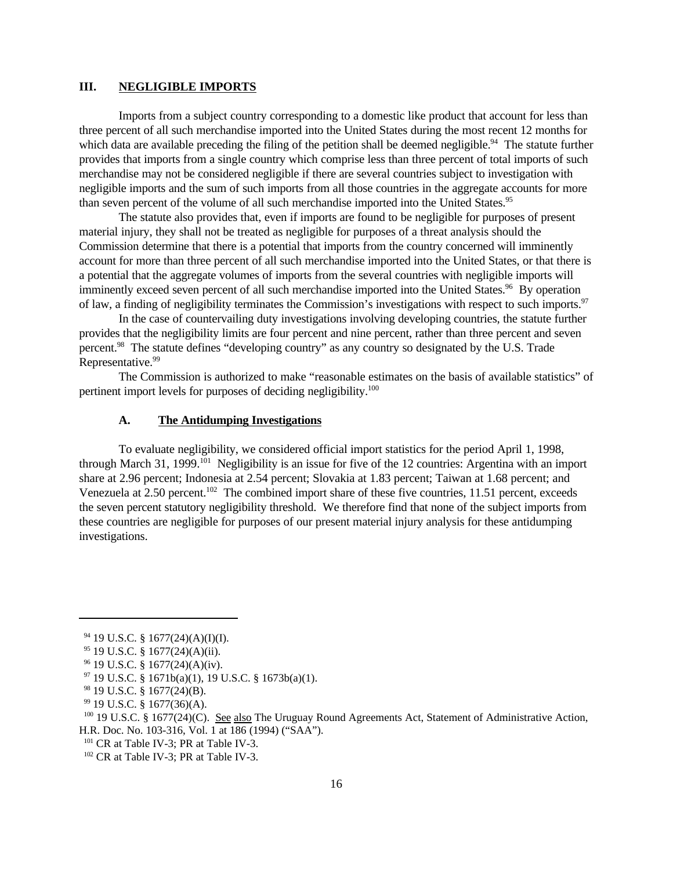### **III. NEGLIGIBLE IMPORTS**

Imports from a subject country corresponding to a domestic like product that account for less than three percent of all such merchandise imported into the United States during the most recent 12 months for which data are available preceding the filing of the petition shall be deemed negligible.<sup>94</sup> The statute further provides that imports from a single country which comprise less than three percent of total imports of such merchandise may not be considered negligible if there are several countries subject to investigation with negligible imports and the sum of such imports from all those countries in the aggregate accounts for more than seven percent of the volume of all such merchandise imported into the United States.<sup>95</sup>

The statute also provides that, even if imports are found to be negligible for purposes of present material injury, they shall not be treated as negligible for purposes of a threat analysis should the Commission determine that there is a potential that imports from the country concerned will imminently account for more than three percent of all such merchandise imported into the United States, or that there is a potential that the aggregate volumes of imports from the several countries with negligible imports will imminently exceed seven percent of all such merchandise imported into the United States.<sup>96</sup> By operation of law, a finding of negligibility terminates the Commission's investigations with respect to such imports.<sup>97</sup>

In the case of countervailing duty investigations involving developing countries, the statute further provides that the negligibility limits are four percent and nine percent, rather than three percent and seven percent.<sup>98</sup> The statute defines "developing country" as any country so designated by the U.S. Trade Representative.<sup>99</sup>

The Commission is authorized to make "reasonable estimates on the basis of available statistics" of pertinent import levels for purposes of deciding negligibility.<sup>100</sup>

#### **A. The Antidumping Investigations**

To evaluate negligibility, we considered official import statistics for the period April 1, 1998, through March 31, 1999.<sup>101</sup> Negligibility is an issue for five of the 12 countries: Argentina with an import share at 2.96 percent; Indonesia at 2.54 percent; Slovakia at 1.83 percent; Taiwan at 1.68 percent; and Venezuela at 2.50 percent.<sup>102</sup> The combined import share of these five countries, 11.51 percent, exceeds the seven percent statutory negligibility threshold. We therefore find that none of the subject imports from these countries are negligible for purposes of our present material injury analysis for these antidumping investigations.

 $94$  19 U.S.C. § 1677(24)(A)(I)(I).

 $95$  19 U.S.C. § 1677(24)(A)(ii).

<sup>96</sup> 19 U.S.C. § 1677(24)(A)(iv).

 $97$  19 U.S.C. § 1671b(a)(1), 19 U.S.C. § 1673b(a)(1).

<sup>98</sup> 19 U.S.C. § 1677(24)(B).

<sup>99</sup> 19 U.S.C. § 1677(36)(A).

<sup>&</sup>lt;sup>100</sup> 19 U.S.C. § 1677(24)(C). See also The Uruguay Round Agreements Act, Statement of Administrative Action, H.R. Doc. No. 103-316, Vol. 1 at 186 (1994) ("SAA").

<sup>&</sup>lt;sup>101</sup> CR at Table IV-3; PR at Table IV-3.

<sup>&</sup>lt;sup>102</sup> CR at Table IV-3; PR at Table IV-3.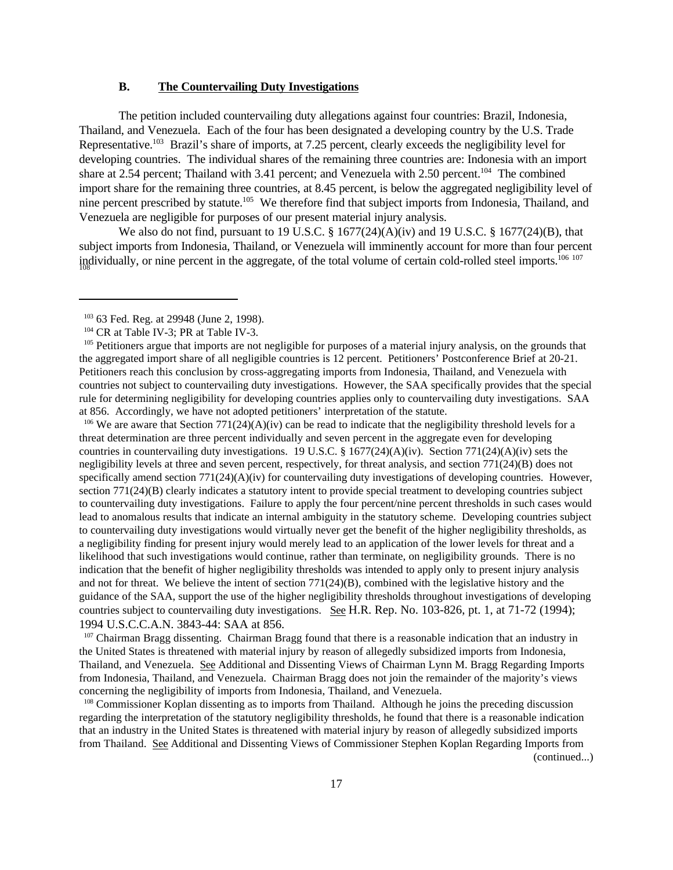### **B. The Countervailing Duty Investigations**

The petition included countervailing duty allegations against four countries: Brazil, Indonesia, Thailand, and Venezuela. Each of the four has been designated a developing country by the U.S. Trade Representative.<sup>103</sup> Brazil's share of imports, at 7.25 percent, clearly exceeds the negligibility level for developing countries. The individual shares of the remaining three countries are: Indonesia with an import share at 2.54 percent; Thailand with 3.41 percent; and Venezuela with 2.50 percent.<sup>104</sup> The combined import share for the remaining three countries, at 8.45 percent, is below the aggregated negligibility level of nine percent prescribed by statute.<sup>105</sup> We therefore find that subject imports from Indonesia, Thailand, and Venezuela are negligible for purposes of our present material injury analysis.

We also do not find, pursuant to 19 U.S.C. §  $1677(24)(A)(iv)$  and 19 U.S.C. §  $1677(24)(B)$ , that subject imports from Indonesia, Thailand, or Venezuela will imminently account for more than four percent  $\rm{individually}$ , or nine percent in the aggregate, of the total volume of certain cold-rolled steel imports.<sup>106 107</sup>

<sup>106</sup> We are aware that Section 771(24)(A)(iv) can be read to indicate that the negligibility threshold levels for a threat determination are three percent individually and seven percent in the aggregate even for developing countries in countervailing duty investigations. 19 U.S.C. § 1677(24)(A)(iv). Section 771(24)(A)(iv) sets the negligibility levels at three and seven percent, respectively, for threat analysis, and section 771(24)(B) does not specifically amend section 771(24)(A)(iv) for countervailing duty investigations of developing countries. However, section 771(24)(B) clearly indicates a statutory intent to provide special treatment to developing countries subject to countervailing duty investigations. Failure to apply the four percent/nine percent thresholds in such cases would lead to anomalous results that indicate an internal ambiguity in the statutory scheme. Developing countries subject to countervailing duty investigations would virtually never get the benefit of the higher negligibility thresholds, as a negligibility finding for present injury would merely lead to an application of the lower levels for threat and a likelihood that such investigations would continue, rather than terminate, on negligibility grounds. There is no indication that the benefit of higher negligibility thresholds was intended to apply only to present injury analysis and not for threat. We believe the intent of section 771(24)(B), combined with the legislative history and the guidance of the SAA, support the use of the higher negligibility thresholds throughout investigations of developing countries subject to countervailing duty investigations. See H.R. Rep. No. 103-826, pt. 1, at 71-72 (1994); 1994 U.S.C.C.A.N. 3843-44: SAA at 856.

<sup>107</sup> Chairman Bragg dissenting. Chairman Bragg found that there is a reasonable indication that an industry in the United States is threatened with material injury by reason of allegedly subsidized imports from Indonesia, Thailand, and Venezuela. See Additional and Dissenting Views of Chairman Lynn M. Bragg Regarding Imports from Indonesia, Thailand, and Venezuela. Chairman Bragg does not join the remainder of the majority's views concerning the negligibility of imports from Indonesia, Thailand, and Venezuela.

<sup>108</sup> Commissioner Koplan dissenting as to imports from Thailand. Although he joins the preceding discussion regarding the interpretation of the statutory negligibility thresholds, he found that there is a reasonable indication that an industry in the United States is threatened with material injury by reason of allegedly subsidized imports from Thailand. See Additional and Dissenting Views of Commissioner Stephen Koplan Regarding Imports from

<sup>&</sup>lt;sup>103</sup> 63 Fed. Reg. at 29948 (June 2, 1998).

<sup>&</sup>lt;sup>104</sup> CR at Table IV-3; PR at Table IV-3.

<sup>&</sup>lt;sup>105</sup> Petitioners argue that imports are not negligible for purposes of a material injury analysis, on the grounds that the aggregated import share of all negligible countries is 12 percent. Petitioners' Postconference Brief at 20-21. Petitioners reach this conclusion by cross-aggregating imports from Indonesia, Thailand, and Venezuela with countries not subject to countervailing duty investigations. However, the SAA specifically provides that the special rule for determining negligibility for developing countries applies only to countervailing duty investigations. SAA at 856. Accordingly, we have not adopted petitioners' interpretation of the statute.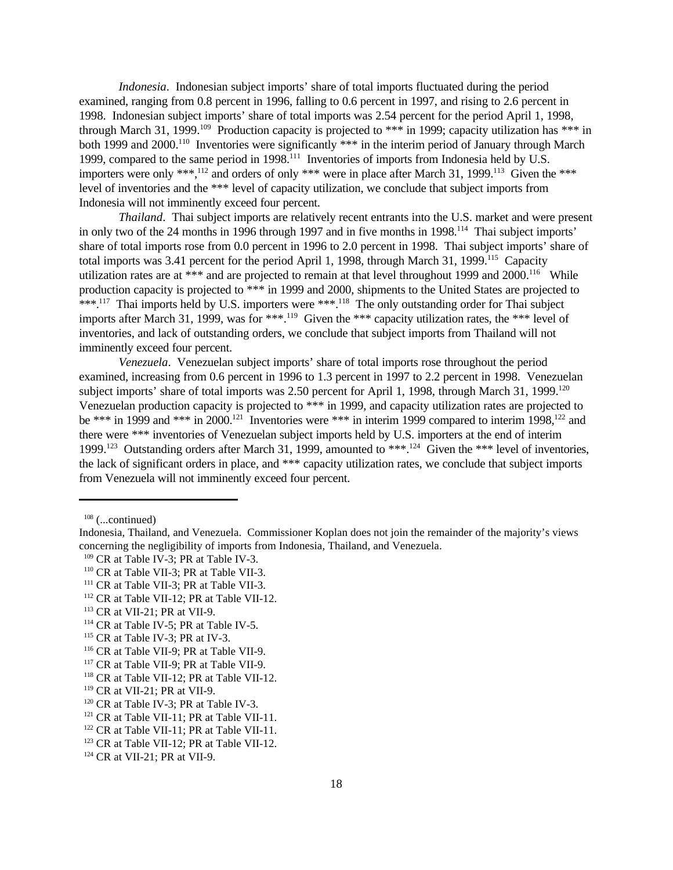*Indonesia*. Indonesian subject imports' share of total imports fluctuated during the period examined, ranging from 0.8 percent in 1996, falling to 0.6 percent in 1997, and rising to 2.6 percent in 1998. Indonesian subject imports' share of total imports was 2.54 percent for the period April 1, 1998, through March 31, 1999.<sup>109</sup> Production capacity is projected to \*\*\* in 1999; capacity utilization has \*\*\* in both 1999 and 2000.<sup>110</sup> Inventories were significantly \*\*\* in the interim period of January through March 1999, compared to the same period in 1998.<sup>111</sup> Inventories of imports from Indonesia held by U.S. importers were only \*\*\*,<sup>112</sup> and orders of only \*\*\* were in place after March 31, 1999.<sup>113</sup> Given the \*\*\* level of inventories and the \*\*\* level of capacity utilization, we conclude that subject imports from Indonesia will not imminently exceed four percent.

*Thailand*. Thai subject imports are relatively recent entrants into the U.S. market and were present in only two of the 24 months in 1996 through 1997 and in five months in 1998.<sup>114</sup> Thai subject imports' share of total imports rose from 0.0 percent in 1996 to 2.0 percent in 1998. Thai subject imports' share of total imports was 3.41 percent for the period April 1, 1998, through March 31, 1999.<sup>115</sup> Capacity utilization rates are at \*\*\* and are projected to remain at that level throughout 1999 and  $2000$ .<sup>116</sup> While production capacity is projected to \*\*\* in 1999 and 2000, shipments to the United States are projected to \*\*\*.<sup>117</sup> Thai imports held by U.S. importers were \*\*\*.<sup>118</sup> The only outstanding order for Thai subject imports after March 31, 1999, was for \*\*\*.<sup>119</sup> Given the \*\*\* capacity utilization rates, the \*\*\* level of inventories, and lack of outstanding orders, we conclude that subject imports from Thailand will not imminently exceed four percent.

*Venezuela*. Venezuelan subject imports' share of total imports rose throughout the period examined, increasing from 0.6 percent in 1996 to 1.3 percent in 1997 to 2.2 percent in 1998. Venezuelan subject imports' share of total imports was 2.50 percent for April 1, 1998, through March 31, 1999.<sup>120</sup> Venezuelan production capacity is projected to \*\*\* in 1999, and capacity utilization rates are projected to be \*\*\* in 1999 and \*\*\* in 2000.<sup>121</sup> Inventories were \*\*\* in interim 1999 compared to interim 1998,<sup>122</sup> and there were \*\*\* inventories of Venezuelan subject imports held by U.S. importers at the end of interim 1999.<sup>123</sup> Outstanding orders after March 31, 1999, amounted to \*\*\*.<sup>124</sup> Given the \*\*\* level of inventories, the lack of significant orders in place, and \*\*\* capacity utilization rates, we conclude that subject imports from Venezuela will not imminently exceed four percent.

 $108$  (...continued)

<sup>112</sup> CR at Table VII-12; PR at Table VII-12.

<sup>115</sup> CR at Table IV-3; PR at IV-3.

Indonesia, Thailand, and Venezuela. Commissioner Koplan does not join the remainder of the majority's views concerning the negligibility of imports from Indonesia, Thailand, and Venezuela.

<sup>&</sup>lt;sup>109</sup> CR at Table IV-3; PR at Table IV-3.

<sup>&</sup>lt;sup>110</sup> CR at Table VII-3; PR at Table VII-3.

<sup>&</sup>lt;sup>111</sup> CR at Table VII-3; PR at Table VII-3.

<sup>113</sup> CR at VII-21; PR at VII-9.

<sup>&</sup>lt;sup>114</sup> CR at Table IV-5; PR at Table IV-5.

<sup>116</sup> CR at Table VII-9; PR at Table VII-9.

<sup>&</sup>lt;sup>117</sup> CR at Table VII-9; PR at Table VII-9.

<sup>118</sup> CR at Table VII-12; PR at Table VII-12.

<sup>119</sup> CR at VII-21; PR at VII-9.

<sup>&</sup>lt;sup>120</sup> CR at Table IV-3; PR at Table IV-3.

<sup>&</sup>lt;sup>121</sup> CR at Table VII-11; PR at Table VII-11.

<sup>&</sup>lt;sup>122</sup> CR at Table VII-11; PR at Table VII-11.

<sup>&</sup>lt;sup>123</sup> CR at Table VII-12; PR at Table VII-12.

<sup>124</sup> CR at VII-21; PR at VII-9.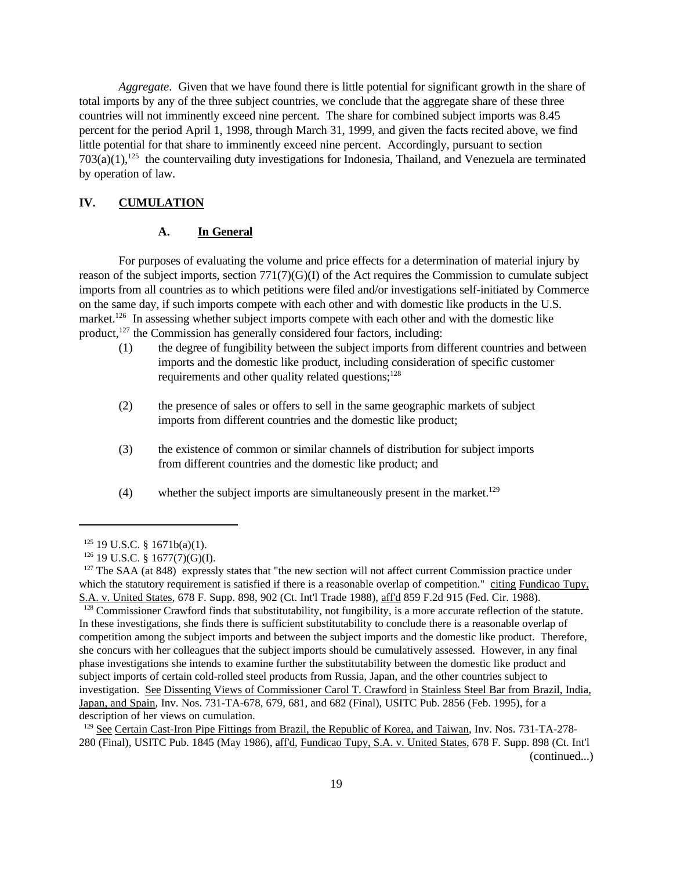*Aggregate*. Given that we have found there is little potential for significant growth in the share of total imports by any of the three subject countries, we conclude that the aggregate share of these three countries will not imminently exceed nine percent. The share for combined subject imports was 8.45 percent for the period April 1, 1998, through March 31, 1999, and given the facts recited above, we find little potential for that share to imminently exceed nine percent. Accordingly, pursuant to section  $703(a)(1)$ ,<sup>125</sup> the countervailing duty investigations for Indonesia, Thailand, and Venezuela are terminated by operation of law.

### **IV. CUMULATION**

### **A. In General**

For purposes of evaluating the volume and price effects for a determination of material injury by reason of the subject imports, section 771(7)(G)(I) of the Act requires the Commission to cumulate subject imports from all countries as to which petitions were filed and/or investigations self-initiated by Commerce on the same day, if such imports compete with each other and with domestic like products in the U.S. market.<sup>126</sup> In assessing whether subject imports compete with each other and with the domestic like product, $127$  the Commission has generally considered four factors, including:

- (1) the degree of fungibility between the subject imports from different countries and between imports and the domestic like product, including consideration of specific customer requirements and other quality related questions;<sup>128</sup>
- (2) the presence of sales or offers to sell in the same geographic markets of subject imports from different countries and the domestic like product;
- (3) the existence of common or similar channels of distribution for subject imports from different countries and the domestic like product; and
- (4) whether the subject imports are simultaneously present in the market.<sup>129</sup>

<sup>128</sup> Commissioner Crawford finds that substitutability, not fungibility, is a more accurate reflection of the statute. In these investigations, she finds there is sufficient substitutability to conclude there is a reasonable overlap of competition among the subject imports and between the subject imports and the domestic like product. Therefore, she concurs with her colleagues that the subject imports should be cumulatively assessed. However, in any final phase investigations she intends to examine further the substitutability between the domestic like product and subject imports of certain cold-rolled steel products from Russia, Japan, and the other countries subject to investigation. See Dissenting Views of Commissioner Carol T. Crawford in Stainless Steel Bar from Brazil, India, Japan, and Spain, Inv. Nos. 731-TA-678, 679, 681, and 682 (Final), USITC Pub. 2856 (Feb. 1995), for a description of her views on cumulation.

<sup>129</sup> See Certain Cast-Iron Pipe Fittings from Brazil, the Republic of Korea, and Taiwan, Inv. Nos. 731-TA-278-280 (Final), USITC Pub. 1845 (May 1986), aff'd, Fundicao Tupy, S.A. v. United States, 678 F. Supp. 898 (Ct. Int'l (continued...)

 $125$  19 U.S.C. § 1671b(a)(1).

<sup>126</sup> 19 U.S.C. § 1677(7)(G)(I).

<sup>&</sup>lt;sup>127</sup> The SAA (at 848) expressly states that "the new section will not affect current Commission practice under which the statutory requirement is satisfied if there is a reasonable overlap of competition." citing Fundicao Tupy, S.A. v. United States, 678 F. Supp. 898, 902 (Ct. Int'l Trade 1988), aff'd 859 F.2d 915 (Fed. Cir. 1988).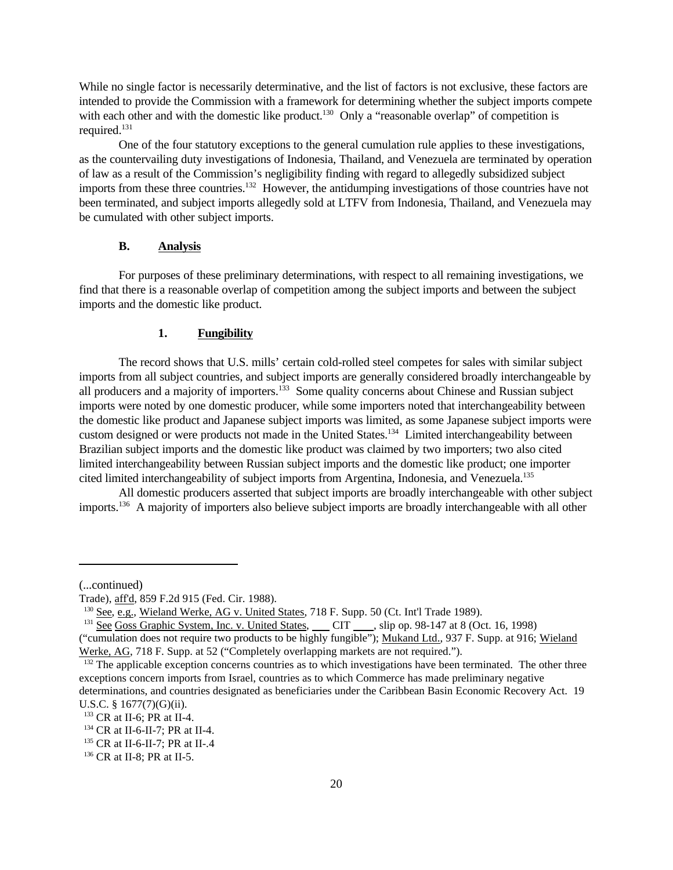While no single factor is necessarily determinative, and the list of factors is not exclusive, these factors are intended to provide the Commission with a framework for determining whether the subject imports compete with each other and with the domestic like product.<sup>130</sup> Only a "reasonable overlap" of competition is required.<sup>131</sup>

One of the four statutory exceptions to the general cumulation rule applies to these investigations, as the countervailing duty investigations of Indonesia, Thailand, and Venezuela are terminated by operation of law as a result of the Commission's negligibility finding with regard to allegedly subsidized subject imports from these three countries.<sup>132</sup> However, the antidumping investigations of those countries have not been terminated, and subject imports allegedly sold at LTFV from Indonesia, Thailand, and Venezuela may be cumulated with other subject imports.

### **B. Analysis**

For purposes of these preliminary determinations, with respect to all remaining investigations, we find that there is a reasonable overlap of competition among the subject imports and between the subject imports and the domestic like product.

#### **1. Fungibility**

The record shows that U.S. mills' certain cold-rolled steel competes for sales with similar subject imports from all subject countries, and subject imports are generally considered broadly interchangeable by all producers and a majority of importers.<sup>133</sup> Some quality concerns about Chinese and Russian subject imports were noted by one domestic producer, while some importers noted that interchangeability between the domestic like product and Japanese subject imports was limited, as some Japanese subject imports were custom designed or were products not made in the United States.<sup>134</sup> Limited interchangeability between Brazilian subject imports and the domestic like product was claimed by two importers; two also cited limited interchangeability between Russian subject imports and the domestic like product; one importer cited limited interchangeability of subject imports from Argentina, Indonesia, and Venezuela.<sup>135</sup>

All domestic producers asserted that subject imports are broadly interchangeable with other subject imports.136 A majority of importers also believe subject imports are broadly interchangeable with all other

<sup>(...</sup>continued)

Trade), aff'd, 859 F.2d 915 (Fed. Cir. 1988).

<sup>&</sup>lt;sup>130</sup> See, e.g., Wieland Werke, AG v. United States, 718 F. Supp. 50 (Ct. Int'l Trade 1989).

<sup>&</sup>lt;sup>131</sup> See Goss Graphic System, Inc. v. United States, CIT, slip op. 98-147 at 8 (Oct. 16, 1998)

<sup>(&</sup>quot;cumulation does not require two products to be highly fungible"); Mukand Ltd., 937 F. Supp. at 916; Wieland Werke, AG, 718 F. Supp. at 52 ("Completely overlapping markets are not required.").

<sup>&</sup>lt;sup>132</sup> The applicable exception concerns countries as to which investigations have been terminated. The other three exceptions concern imports from Israel, countries as to which Commerce has made preliminary negative determinations, and countries designated as beneficiaries under the Caribbean Basin Economic Recovery Act. 19 U.S.C. § 1677(7)(G)(ii).

<sup>133</sup> CR at II-6; PR at II-4.

<sup>134</sup> CR at II-6-II-7; PR at II-4.

<sup>135</sup> CR at II-6-II-7; PR at II-.4

<sup>136</sup> CR at II-8; PR at II-5.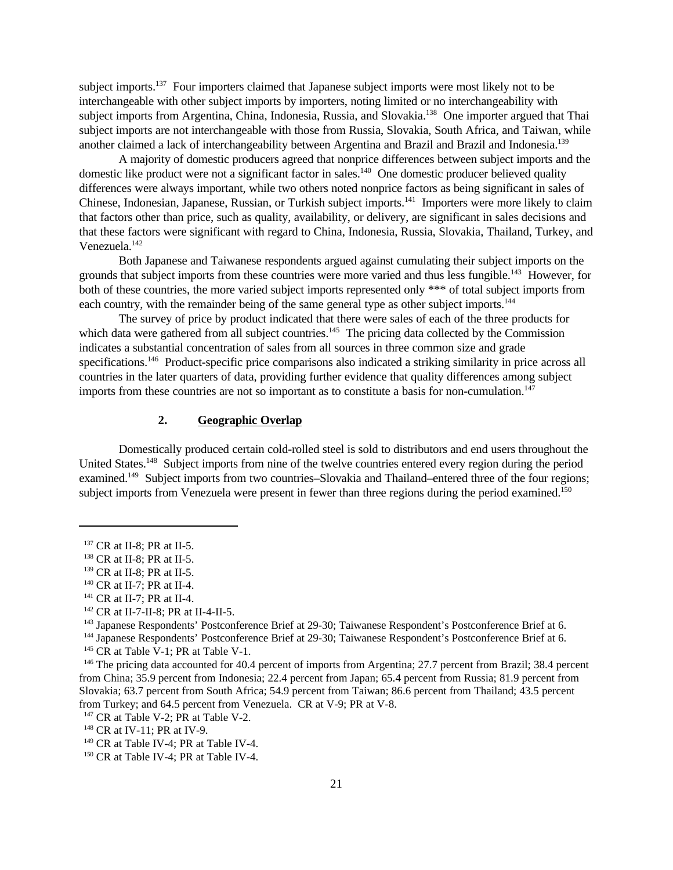subject imports.<sup>137</sup> Four importers claimed that Japanese subject imports were most likely not to be interchangeable with other subject imports by importers, noting limited or no interchangeability with subject imports from Argentina, China, Indonesia, Russia, and Slovakia.<sup>138</sup> One importer argued that Thai subject imports are not interchangeable with those from Russia, Slovakia, South Africa, and Taiwan, while another claimed a lack of interchangeability between Argentina and Brazil and Brazil and Indonesia.<sup>139</sup>

A majority of domestic producers agreed that nonprice differences between subject imports and the domestic like product were not a significant factor in sales.<sup>140</sup> One domestic producer believed quality differences were always important, while two others noted nonprice factors as being significant in sales of Chinese, Indonesian, Japanese, Russian, or Turkish subject imports.<sup>141</sup> Importers were more likely to claim that factors other than price, such as quality, availability, or delivery, are significant in sales decisions and that these factors were significant with regard to China, Indonesia, Russia, Slovakia, Thailand, Turkey, and Venezuela.<sup>142</sup>

Both Japanese and Taiwanese respondents argued against cumulating their subject imports on the grounds that subject imports from these countries were more varied and thus less fungible.<sup>143</sup> However, for both of these countries, the more varied subject imports represented only \*\*\* of total subject imports from each country, with the remainder being of the same general type as other subject imports.<sup>144</sup>

The survey of price by product indicated that there were sales of each of the three products for which data were gathered from all subject countries.<sup>145</sup> The pricing data collected by the Commission indicates a substantial concentration of sales from all sources in three common size and grade specifications.<sup>146</sup> Product-specific price comparisons also indicated a striking similarity in price across all countries in the later quarters of data, providing further evidence that quality differences among subject imports from these countries are not so important as to constitute a basis for non-cumulation. $147$ 

#### **2. Geographic Overlap**

Domestically produced certain cold-rolled steel is sold to distributors and end users throughout the United States.<sup>148</sup> Subject imports from nine of the twelve countries entered every region during the period examined.<sup>149</sup> Subject imports from two countries–Slovakia and Thailand–entered three of the four regions; subject imports from Venezuela were present in fewer than three regions during the period examined.<sup>150</sup>

<sup>137</sup> CR at II-8; PR at II-5.

<sup>138</sup> CR at II-8; PR at II-5.

<sup>139</sup> CR at II-8; PR at II-5.

<sup>&</sup>lt;sup>140</sup> CR at II-7; PR at II-4.

<sup>141</sup> CR at II-7; PR at II-4.

<sup>&</sup>lt;sup>142</sup> CR at II-7-II-8; PR at II-4-II-5.

<sup>&</sup>lt;sup>143</sup> Japanese Respondents' Postconference Brief at 29-30; Taiwanese Respondent's Postconference Brief at 6.

<sup>144</sup> Japanese Respondents' Postconference Brief at 29-30; Taiwanese Respondent's Postconference Brief at 6.

<sup>&</sup>lt;sup>145</sup> CR at Table V-1; PR at Table V-1.

<sup>&</sup>lt;sup>146</sup> The pricing data accounted for 40.4 percent of imports from Argentina; 27.7 percent from Brazil; 38.4 percent from China; 35.9 percent from Indonesia; 22.4 percent from Japan; 65.4 percent from Russia; 81.9 percent from Slovakia; 63.7 percent from South Africa; 54.9 percent from Taiwan; 86.6 percent from Thailand; 43.5 percent from Turkey; and 64.5 percent from Venezuela. CR at V-9; PR at V-8.

<sup>&</sup>lt;sup>147</sup> CR at Table V-2; PR at Table V-2.

<sup>&</sup>lt;sup>148</sup> CR at IV-11; PR at IV-9.

<sup>&</sup>lt;sup>149</sup> CR at Table IV-4; PR at Table IV-4.

<sup>&</sup>lt;sup>150</sup> CR at Table IV-4; PR at Table IV-4.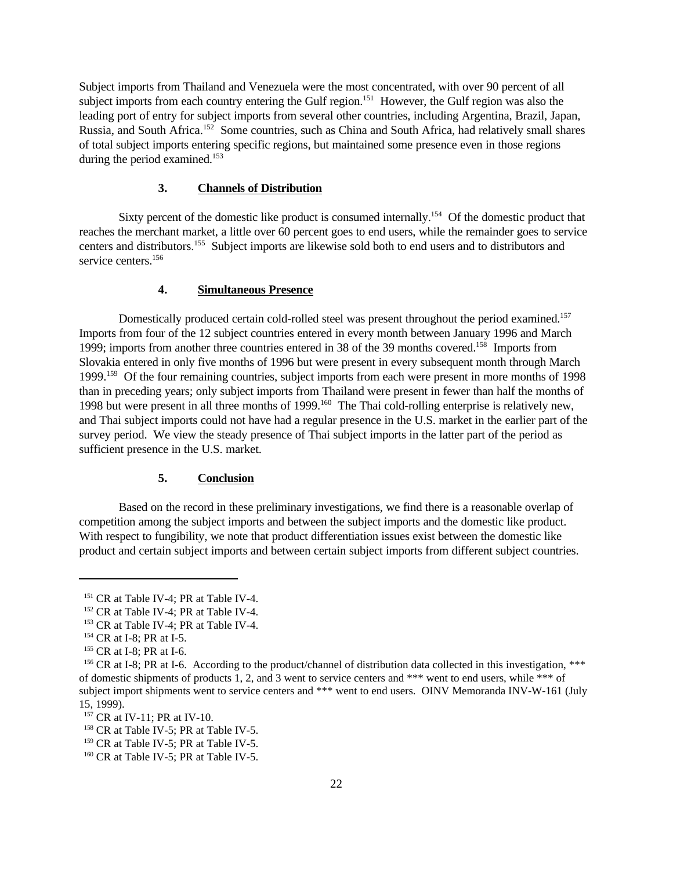Subject imports from Thailand and Venezuela were the most concentrated, with over 90 percent of all subject imports from each country entering the Gulf region.<sup>151</sup> However, the Gulf region was also the leading port of entry for subject imports from several other countries, including Argentina, Brazil, Japan, Russia, and South Africa.<sup>152</sup> Some countries, such as China and South Africa, had relatively small shares of total subject imports entering specific regions, but maintained some presence even in those regions during the period examined.<sup>153</sup>

### **3. Channels of Distribution**

Sixty percent of the domestic like product is consumed internally.<sup>154</sup> Of the domestic product that reaches the merchant market, a little over 60 percent goes to end users, while the remainder goes to service centers and distributors.<sup>155</sup> Subject imports are likewise sold both to end users and to distributors and service centers.<sup>156</sup>

### **4. Simultaneous Presence**

Domestically produced certain cold-rolled steel was present throughout the period examined.<sup>157</sup> Imports from four of the 12 subject countries entered in every month between January 1996 and March 1999; imports from another three countries entered in 38 of the 39 months covered.<sup>158</sup> Imports from Slovakia entered in only five months of 1996 but were present in every subsequent month through March 1999.<sup>159</sup> Of the four remaining countries, subject imports from each were present in more months of 1998 than in preceding years; only subject imports from Thailand were present in fewer than half the months of 1998 but were present in all three months of 1999.<sup>160</sup> The Thai cold-rolling enterprise is relatively new, and Thai subject imports could not have had a regular presence in the U.S. market in the earlier part of the survey period. We view the steady presence of Thai subject imports in the latter part of the period as sufficient presence in the U.S. market.

#### **5. Conclusion**

Based on the record in these preliminary investigations, we find there is a reasonable overlap of competition among the subject imports and between the subject imports and the domestic like product. With respect to fungibility, we note that product differentiation issues exist between the domestic like product and certain subject imports and between certain subject imports from different subject countries.

<sup>&</sup>lt;sup>151</sup> CR at Table IV-4; PR at Table IV-4.

<sup>&</sup>lt;sup>152</sup> CR at Table IV-4; PR at Table IV-4.

<sup>&</sup>lt;sup>153</sup> CR at Table IV-4; PR at Table IV-4.

<sup>&</sup>lt;sup>154</sup> CR at I-8; PR at I-5.

<sup>&</sup>lt;sup>155</sup> CR at I-8; PR at I-6.

<sup>&</sup>lt;sup>156</sup> CR at I-8; PR at I-6. According to the product/channel of distribution data collected in this investigation, \*\*\* of domestic shipments of products 1, 2, and 3 went to service centers and \*\*\* went to end users, while \*\*\* of subject import shipments went to service centers and \*\*\* went to end users. OINV Memoranda INV-W-161 (July 15, 1999).

<sup>157</sup> CR at IV-11; PR at IV-10.

<sup>&</sup>lt;sup>158</sup> CR at Table IV-5; PR at Table IV-5.

<sup>&</sup>lt;sup>159</sup> CR at Table IV-5; PR at Table IV-5.

<sup>&</sup>lt;sup>160</sup> CR at Table IV-5; PR at Table IV-5.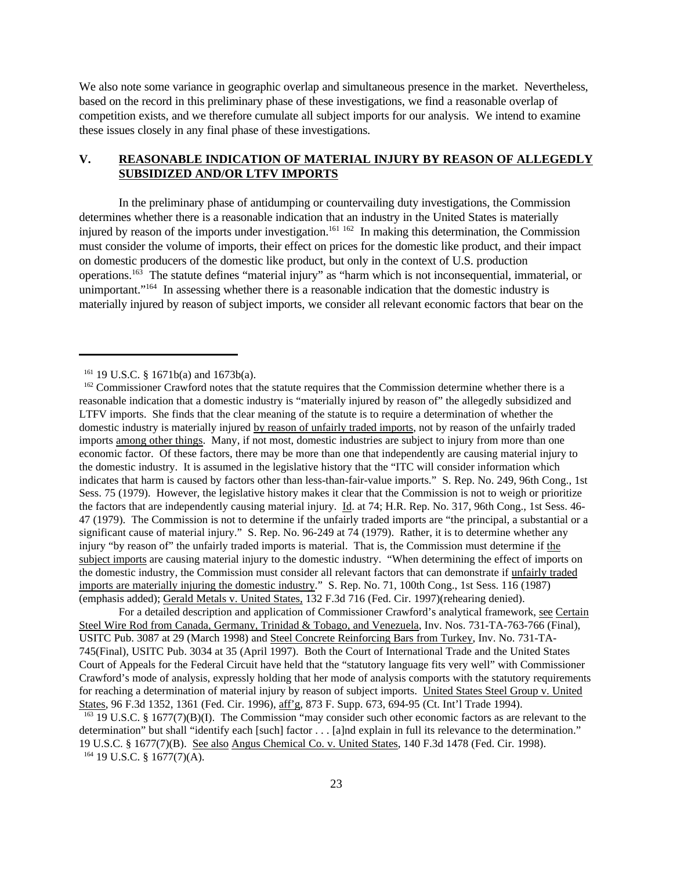We also note some variance in geographic overlap and simultaneous presence in the market. Nevertheless, based on the record in this preliminary phase of these investigations, we find a reasonable overlap of competition exists, and we therefore cumulate all subject imports for our analysis. We intend to examine these issues closely in any final phase of these investigations.

# **V. REASONABLE INDICATION OF MATERIAL INJURY BY REASON OF ALLEGEDLY SUBSIDIZED AND/OR LTFV IMPORTS**

In the preliminary phase of antidumping or countervailing duty investigations, the Commission determines whether there is a reasonable indication that an industry in the United States is materially injured by reason of the imports under investigation.<sup>161 162</sup> In making this determination, the Commission must consider the volume of imports, their effect on prices for the domestic like product, and their impact on domestic producers of the domestic like product, but only in the context of U.S. production operations.<sup>163</sup> The statute defines "material injury" as "harm which is not inconsequential, immaterial, or unimportant."<sup>164</sup> In assessing whether there is a reasonable indication that the domestic industry is materially injured by reason of subject imports, we consider all relevant economic factors that bear on the

For a detailed description and application of Commissioner Crawford's analytical framework, see Certain Steel Wire Rod from Canada, Germany, Trinidad & Tobago, and Venezuela, Inv. Nos. 731-TA-763-766 (Final), USITC Pub. 3087 at 29 (March 1998) and Steel Concrete Reinforcing Bars from Turkey, Inv. No. 731-TA-745(Final), USITC Pub. 3034 at 35 (April 1997). Both the Court of International Trade and the United States Court of Appeals for the Federal Circuit have held that the "statutory language fits very well" with Commissioner Crawford's mode of analysis, expressly holding that her mode of analysis comports with the statutory requirements for reaching a determination of material injury by reason of subject imports. United States Steel Group v. United States, 96 F.3d 1352, 1361 (Fed. Cir. 1996), aff'g, 873 F. Supp. 673, 694-95 (Ct. Int'l Trade 1994). <sup>163</sup> 19 U.S.C. § 1677(7)(B)(I). The Commission "may consider such other economic factors as are relevant to the determination" but shall "identify each [such] factor . . . [a]nd explain in full its relevance to the determination." 19 U.S.C. § 1677(7)(B). See also Angus Chemical Co. v. United States, 140 F.3d 1478 (Fed. Cir. 1998).

 $164$  19 U.S.C. § 1677(7)(A).

<sup>161</sup> 19 U.S.C. § 1671b(a) and 1673b(a).

<sup>&</sup>lt;sup>162</sup> Commissioner Crawford notes that the statute requires that the Commission determine whether there is a reasonable indication that a domestic industry is "materially injured by reason of" the allegedly subsidized and LTFV imports. She finds that the clear meaning of the statute is to require a determination of whether the domestic industry is materially injured by reason of unfairly traded imports, not by reason of the unfairly traded imports among other things. Many, if not most, domestic industries are subject to injury from more than one economic factor. Of these factors, there may be more than one that independently are causing material injury to the domestic industry. It is assumed in the legislative history that the "ITC will consider information which indicates that harm is caused by factors other than less-than-fair-value imports." S. Rep. No. 249, 96th Cong., 1st Sess. 75 (1979). However, the legislative history makes it clear that the Commission is not to weigh or prioritize the factors that are independently causing material injury. Id. at 74; H.R. Rep. No. 317, 96th Cong., 1st Sess. 46- 47 (1979). The Commission is not to determine if the unfairly traded imports are "the principal, a substantial or a significant cause of material injury." S. Rep. No. 96-249 at 74 (1979). Rather, it is to determine whether any injury "by reason of" the unfairly traded imports is material. That is, the Commission must determine if the subject imports are causing material injury to the domestic industry. "When determining the effect of imports on the domestic industry, the Commission must consider all relevant factors that can demonstrate if unfairly traded imports are materially injuring the domestic industry." S. Rep. No. 71, 100th Cong., 1st Sess. 116 (1987) (emphasis added); Gerald Metals v. United States, 132 F.3d 716 (Fed. Cir. 1997)(rehearing denied).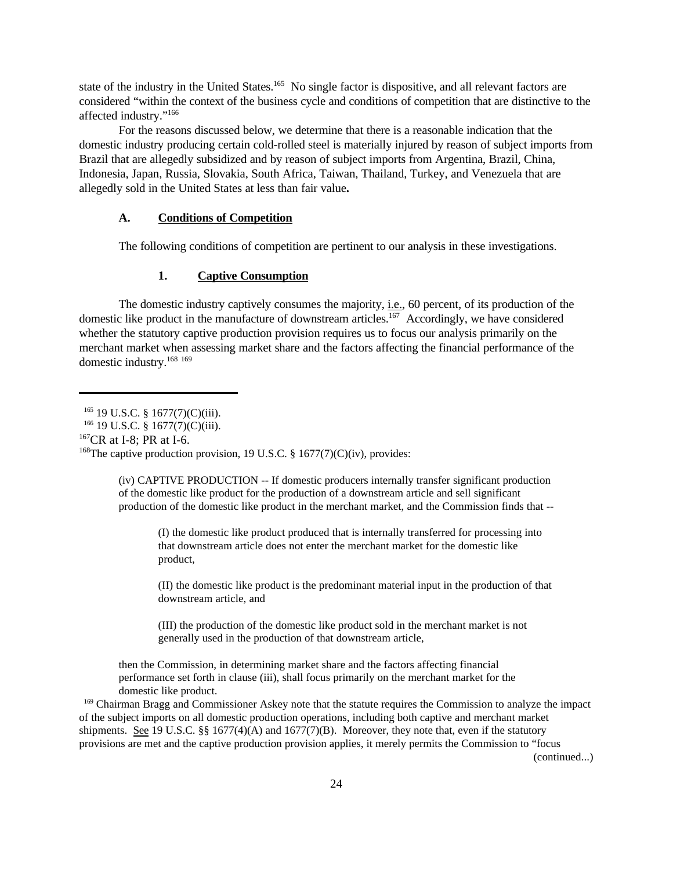state of the industry in the United States.<sup>165</sup> No single factor is dispositive, and all relevant factors are considered "within the context of the business cycle and conditions of competition that are distinctive to the affected industry."<sup>166</sup>

For the reasons discussed below, we determine that there is a reasonable indication that the domestic industry producing certain cold-rolled steel is materially injured by reason of subject imports from Brazil that are allegedly subsidized and by reason of subject imports from Argentina, Brazil, China, Indonesia, Japan, Russia, Slovakia, South Africa, Taiwan, Thailand, Turkey, and Venezuela that are allegedly sold in the United States at less than fair value**.**

#### **A. Conditions of Competition**

The following conditions of competition are pertinent to our analysis in these investigations.

#### **1. Captive Consumption**

The domestic industry captively consumes the majority, i.e., 60 percent, of its production of the domestic like product in the manufacture of downstream articles.<sup>167</sup> Accordingly, we have considered whether the statutory captive production provision requires us to focus our analysis primarily on the merchant market when assessing market share and the factors affecting the financial performance of the domestic industry.<sup>168 169</sup>

 $^{167}CR$  at I-8; PR at I-6.

(iv) CAPTIVE PRODUCTION -- If domestic producers internally transfer significant production of the domestic like product for the production of a downstream article and sell significant production of the domestic like product in the merchant market, and the Commission finds that --

(I) the domestic like product produced that is internally transferred for processing into that downstream article does not enter the merchant market for the domestic like product,

(II) the domestic like product is the predominant material input in the production of that downstream article, and

(III) the production of the domestic like product sold in the merchant market is not generally used in the production of that downstream article,

then the Commission, in determining market share and the factors affecting financial performance set forth in clause (iii), shall focus primarily on the merchant market for the domestic like product.

<sup>169</sup> Chairman Bragg and Commissioner Askey note that the statute requires the Commission to analyze the impact of the subject imports on all domestic production operations, including both captive and merchant market shipments. See 19 U.S.C. §§ 1677(4)(A) and 1677(7)(B). Moreover, they note that, even if the statutory provisions are met and the captive production provision applies, it merely permits the Commission to "focus

(continued...)

 $165$  19 U.S.C. § 1677(7)(C)(iii).

<sup>&</sup>lt;sup>166</sup> 19 U.S.C. § 1677(7)(C)(iii).

<sup>&</sup>lt;sup>168</sup>The captive production provision, 19 U.S.C. § 1677(7)(C)(iv), provides: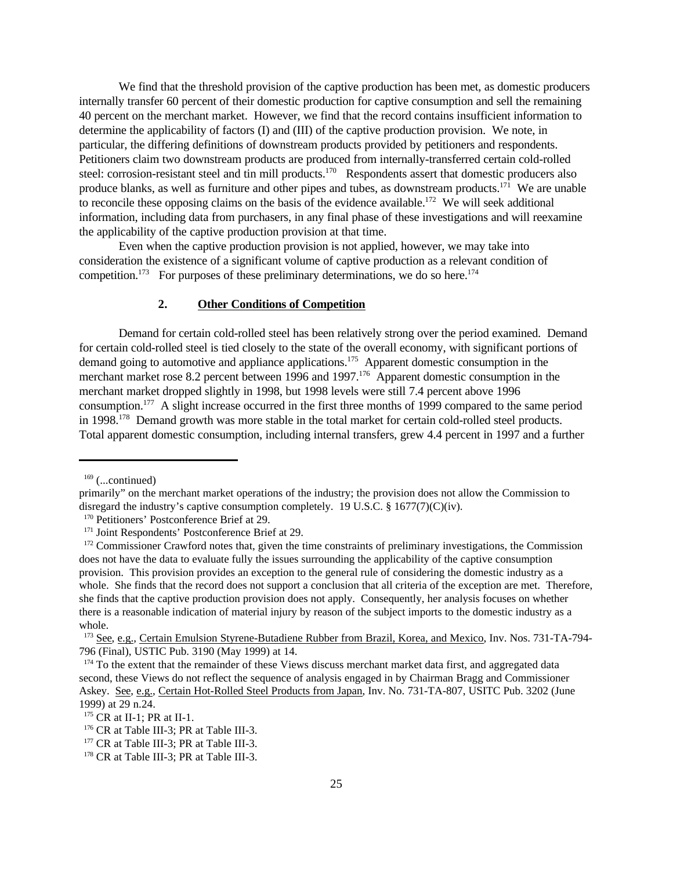We find that the threshold provision of the captive production has been met, as domestic producers internally transfer 60 percent of their domestic production for captive consumption and sell the remaining 40 percent on the merchant market. However, we find that the record contains insufficient information to determine the applicability of factors (I) and (III) of the captive production provision. We note, in particular, the differing definitions of downstream products provided by petitioners and respondents. Petitioners claim two downstream products are produced from internally-transferred certain cold-rolled steel: corrosion-resistant steel and tin mill products.<sup>170</sup> Respondents assert that domestic producers also produce blanks, as well as furniture and other pipes and tubes, as downstream products.<sup>171</sup> We are unable to reconcile these opposing claims on the basis of the evidence available.<sup>172</sup> We will seek additional information, including data from purchasers, in any final phase of these investigations and will reexamine the applicability of the captive production provision at that time.

Even when the captive production provision is not applied, however, we may take into consideration the existence of a significant volume of captive production as a relevant condition of competition.<sup>173</sup> For purposes of these preliminary determinations, we do so here.<sup>174</sup>

### **2. Other Conditions of Competition**

Demand for certain cold-rolled steel has been relatively strong over the period examined. Demand for certain cold-rolled steel is tied closely to the state of the overall economy, with significant portions of demand going to automotive and appliance applications.<sup>175</sup> Apparent domestic consumption in the merchant market rose 8.2 percent between 1996 and 1997.<sup>176</sup> Apparent domestic consumption in the merchant market dropped slightly in 1998, but 1998 levels were still 7.4 percent above 1996 consumption.<sup>177</sup> A slight increase occurred in the first three months of 1999 compared to the same period in  $1998$ ,  $178$  Demand growth was more stable in the total market for certain cold-rolled steel products. Total apparent domestic consumption, including internal transfers, grew 4.4 percent in 1997 and a further

 $169$  (...continued)

primarily" on the merchant market operations of the industry; the provision does not allow the Commission to disregard the industry's captive consumption completely. 19 U.S.C. § 1677(7)(C)(iv).

<sup>&</sup>lt;sup>170</sup> Petitioners' Postconference Brief at 29.

<sup>&</sup>lt;sup>171</sup> Joint Respondents' Postconference Brief at 29.

<sup>&</sup>lt;sup>172</sup> Commissioner Crawford notes that, given the time constraints of preliminary investigations, the Commission does not have the data to evaluate fully the issues surrounding the applicability of the captive consumption provision. This provision provides an exception to the general rule of considering the domestic industry as a whole. She finds that the record does not support a conclusion that all criteria of the exception are met. Therefore, she finds that the captive production provision does not apply. Consequently, her analysis focuses on whether there is a reasonable indication of material injury by reason of the subject imports to the domestic industry as a whole.

<sup>&</sup>lt;sup>173</sup> See, e.g., Certain Emulsion Styrene-Butadiene Rubber from Brazil, Korea, and Mexico, Inv. Nos. 731-TA-794-796 (Final), USTIC Pub. 3190 (May 1999) at 14.

<sup>&</sup>lt;sup>174</sup> To the extent that the remainder of these Views discuss merchant market data first, and aggregated data second, these Views do not reflect the sequence of analysis engaged in by Chairman Bragg and Commissioner Askey. See, e.g., Certain Hot-Rolled Steel Products from Japan, Inv. No. 731-TA-807, USITC Pub. 3202 (June 1999) at 29 n.24.

<sup>175</sup> CR at II-1; PR at II-1.

<sup>176</sup> CR at Table III-3; PR at Table III-3.

<sup>&</sup>lt;sup>177</sup> CR at Table III-3; PR at Table III-3.

<sup>&</sup>lt;sup>178</sup> CR at Table III-3; PR at Table III-3.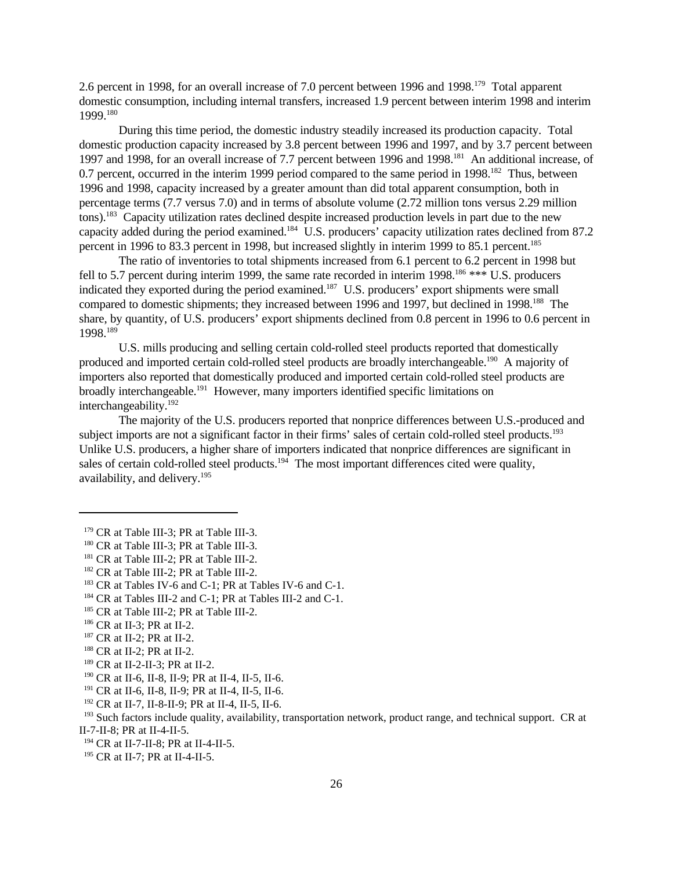2.6 percent in 1998, for an overall increase of 7.0 percent between 1996 and 1998.<sup>179</sup> Total apparent domestic consumption, including internal transfers, increased 1.9 percent between interim 1998 and interim 1999.<sup>180</sup>

During this time period, the domestic industry steadily increased its production capacity. Total domestic production capacity increased by 3.8 percent between 1996 and 1997, and by 3.7 percent between 1997 and 1998, for an overall increase of 7.7 percent between 1996 and 1998.<sup>181</sup> An additional increase, of 0.7 percent, occurred in the interim 1999 period compared to the same period in 1998.<sup>182</sup> Thus, between 1996 and 1998, capacity increased by a greater amount than did total apparent consumption, both in percentage terms (7.7 versus 7.0) and in terms of absolute volume (2.72 million tons versus 2.29 million tons).<sup>183</sup> Capacity utilization rates declined despite increased production levels in part due to the new capacity added during the period examined.<sup>184</sup> U.S. producers' capacity utilization rates declined from 87.2 percent in 1996 to 83.3 percent in 1998, but increased slightly in interim 1999 to 85.1 percent.<sup>185</sup>

The ratio of inventories to total shipments increased from 6.1 percent to 6.2 percent in 1998 but fell to 5.7 percent during interim 1999, the same rate recorded in interim 1998.<sup>186</sup> \*\*\* U.S. producers indicated they exported during the period examined.<sup>187</sup> U.S. producers' export shipments were small compared to domestic shipments; they increased between 1996 and 1997, but declined in 1998.<sup>188</sup> The share, by quantity, of U.S. producers' export shipments declined from 0.8 percent in 1996 to 0.6 percent in 1998.<sup>189</sup>

U.S. mills producing and selling certain cold-rolled steel products reported that domestically produced and imported certain cold-rolled steel products are broadly interchangeable.<sup>190</sup> A majority of importers also reported that domestically produced and imported certain cold-rolled steel products are broadly interchangeable.<sup>191</sup> However, many importers identified specific limitations on interchangeability.<sup>192</sup>

The majority of the U.S. producers reported that nonprice differences between U.S.-produced and subject imports are not a significant factor in their firms' sales of certain cold-rolled steel products.<sup>193</sup> Unlike U.S. producers, a higher share of importers indicated that nonprice differences are significant in sales of certain cold-rolled steel products.<sup>194</sup> The most important differences cited were quality, availability, and delivery.195

<sup>&</sup>lt;sup>179</sup> CR at Table III-3; PR at Table III-3.

<sup>&</sup>lt;sup>180</sup> CR at Table III-3; PR at Table III-3.

<sup>&</sup>lt;sup>181</sup> CR at Table III-2; PR at Table III-2.

<sup>&</sup>lt;sup>182</sup> CR at Table III-2; PR at Table III-2.

<sup>&</sup>lt;sup>183</sup> CR at Tables IV-6 and C-1; PR at Tables IV-6 and C-1.

<sup>184</sup> CR at Tables III-2 and C-1; PR at Tables III-2 and C-1.

<sup>&</sup>lt;sup>185</sup> CR at Table III-2; PR at Table III-2.

<sup>186</sup> CR at II-3; PR at II-2.

<sup>187</sup> CR at II-2; PR at II-2.

<sup>188</sup> CR at II-2; PR at II-2.

<sup>189</sup> CR at II-2-II-3; PR at II-2.

<sup>190</sup> CR at II-6, II-8, II-9; PR at II-4, II-5, II-6.

<sup>191</sup> CR at II-6, II-8, II-9; PR at II-4, II-5, II-6.

<sup>192</sup> CR at II-7, II-8-II-9; PR at II-4, II-5, II-6.

<sup>&</sup>lt;sup>193</sup> Such factors include quality, availability, transportation network, product range, and technical support. CR at II-7-II-8; PR at II-4-II-5.

<sup>194</sup> CR at II-7-II-8; PR at II-4-II-5.

<sup>195</sup> CR at II-7; PR at II-4-II-5.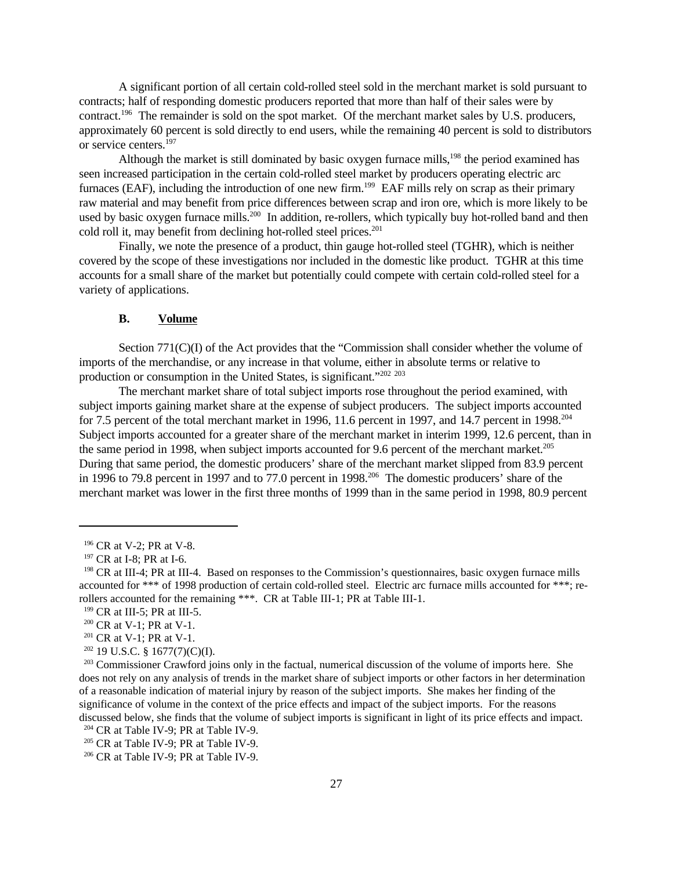A significant portion of all certain cold-rolled steel sold in the merchant market is sold pursuant to contracts; half of responding domestic producers reported that more than half of their sales were by contract.<sup>196</sup> The remainder is sold on the spot market. Of the merchant market sales by U.S. producers, approximately 60 percent is sold directly to end users, while the remaining 40 percent is sold to distributors or service centers.<sup>197</sup>

Although the market is still dominated by basic oxygen furnace mills,<sup>198</sup> the period examined has seen increased participation in the certain cold-rolled steel market by producers operating electric arc furnaces (EAF), including the introduction of one new firm.<sup>199</sup> EAF mills rely on scrap as their primary raw material and may benefit from price differences between scrap and iron ore, which is more likely to be used by basic oxygen furnace mills.<sup>200</sup> In addition, re-rollers, which typically buy hot-rolled band and then cold roll it, may benefit from declining hot-rolled steel prices.<sup>201</sup>

Finally, we note the presence of a product, thin gauge hot-rolled steel (TGHR), which is neither covered by the scope of these investigations nor included in the domestic like product. TGHR at this time accounts for a small share of the market but potentially could compete with certain cold-rolled steel for a variety of applications.

#### **B. Volume**

Section 771(C)(I) of the Act provides that the "Commission shall consider whether the volume of imports of the merchandise, or any increase in that volume, either in absolute terms or relative to production or consumption in the United States, is significant."<sup>202</sup> <sup>203</sup>

The merchant market share of total subject imports rose throughout the period examined, with subject imports gaining market share at the expense of subject producers. The subject imports accounted for 7.5 percent of the total merchant market in 1996, 11.6 percent in 1997, and 14.7 percent in 1998.<sup>204</sup> Subject imports accounted for a greater share of the merchant market in interim 1999, 12.6 percent, than in the same period in 1998, when subject imports accounted for 9.6 percent of the merchant market.<sup>205</sup> During that same period, the domestic producers' share of the merchant market slipped from 83.9 percent in 1996 to 79.8 percent in 1997 and to 77.0 percent in 1998.<sup>206</sup> The domestic producers' share of the merchant market was lower in the first three months of 1999 than in the same period in 1998, 80.9 percent

<sup>201</sup> CR at V-1; PR at V-1.

<sup>196</sup> CR at V-2; PR at V-8.

<sup>&</sup>lt;sup>197</sup> CR at I-8; PR at I-6.

<sup>&</sup>lt;sup>198</sup> CR at III-4; PR at III-4. Based on responses to the Commission's questionnaires, basic oxygen furnace mills accounted for \*\*\* of 1998 production of certain cold-rolled steel. Electric arc furnace mills accounted for \*\*\*; rerollers accounted for the remaining \*\*\*. CR at Table III-1; PR at Table III-1.

<sup>199</sup> CR at III-5; PR at III-5.

<sup>&</sup>lt;sup>200</sup> CR at V-1; PR at V-1.

 $202$  19 U.S.C. § 1677(7)(C)(I).

<sup>&</sup>lt;sup>203</sup> Commissioner Crawford joins only in the factual, numerical discussion of the volume of imports here. She does not rely on any analysis of trends in the market share of subject imports or other factors in her determination of a reasonable indication of material injury by reason of the subject imports. She makes her finding of the significance of volume in the context of the price effects and impact of the subject imports. For the reasons discussed below, she finds that the volume of subject imports is significant in light of its price effects and impact.  $204$  CR at Table IV-9; PR at Table IV-9.

<sup>205</sup> CR at Table IV-9; PR at Table IV-9.

<sup>206</sup> CR at Table IV-9; PR at Table IV-9.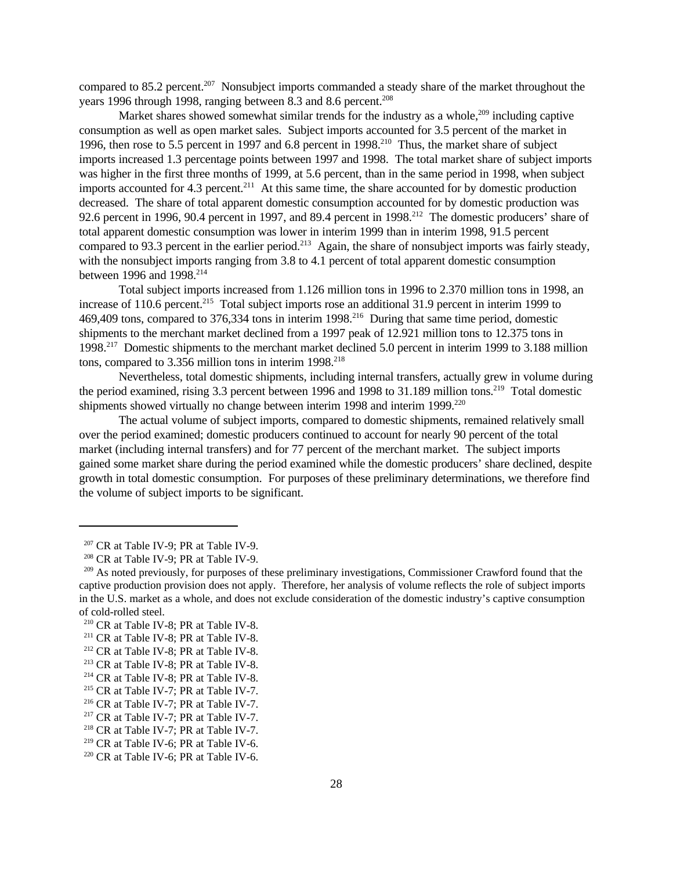compared to 85.2 percent.<sup>207</sup> Nonsubject imports commanded a steady share of the market throughout the years 1996 through 1998, ranging between 8.3 and 8.6 percent.<sup>208</sup>

Market shares showed somewhat similar trends for the industry as a whole,  $209$  including captive consumption as well as open market sales. Subject imports accounted for 3.5 percent of the market in 1996, then rose to 5.5 percent in 1997 and 6.8 percent in 1998.<sup>210</sup> Thus, the market share of subject imports increased 1.3 percentage points between 1997 and 1998. The total market share of subject imports was higher in the first three months of 1999, at 5.6 percent, than in the same period in 1998, when subject imports accounted for 4.3 percent.<sup>211</sup> At this same time, the share accounted for by domestic production decreased. The share of total apparent domestic consumption accounted for by domestic production was 92.6 percent in 1996, 90.4 percent in 1997, and 89.4 percent in 1998.<sup>212</sup> The domestic producers' share of total apparent domestic consumption was lower in interim 1999 than in interim 1998, 91.5 percent compared to 93.3 percent in the earlier period.<sup>213</sup> Again, the share of nonsubject imports was fairly steady, with the nonsubject imports ranging from 3.8 to 4.1 percent of total apparent domestic consumption between 1996 and 1998.<sup>214</sup>

Total subject imports increased from 1.126 million tons in 1996 to 2.370 million tons in 1998, an increase of 110.6 percent.<sup>215</sup> Total subject imports rose an additional 31.9 percent in interim 1999 to 469,409 tons, compared to 376,334 tons in interim 1998.<sup>216</sup> During that same time period, domestic shipments to the merchant market declined from a 1997 peak of 12.921 million tons to 12.375 tons in 1998.<sup>217</sup> Domestic shipments to the merchant market declined 5.0 percent in interim 1999 to 3.188 million tons, compared to  $3.356$  million tons in interim  $1998.^{218}$ 

Nevertheless, total domestic shipments, including internal transfers, actually grew in volume during the period examined, rising 3.3 percent between 1996 and 1998 to 31.189 million tons.<sup>219</sup> Total domestic shipments showed virtually no change between interim 1998 and interim 1999.<sup>220</sup>

The actual volume of subject imports, compared to domestic shipments, remained relatively small over the period examined; domestic producers continued to account for nearly 90 percent of the total market (including internal transfers) and for 77 percent of the merchant market. The subject imports gained some market share during the period examined while the domestic producers' share declined, despite growth in total domestic consumption. For purposes of these preliminary determinations, we therefore find the volume of subject imports to be significant.

 $207$  CR at Table IV-9; PR at Table IV-9.

<sup>208</sup> CR at Table IV-9; PR at Table IV-9.

<sup>&</sup>lt;sup>209</sup> As noted previously, for purposes of these preliminary investigations, Commissioner Crawford found that the captive production provision does not apply. Therefore, her analysis of volume reflects the role of subject imports in the U.S. market as a whole, and does not exclude consideration of the domestic industry's captive consumption of cold-rolled steel.

<sup>210</sup> CR at Table IV-8; PR at Table IV-8.

<sup>&</sup>lt;sup>211</sup> CR at Table IV-8; PR at Table IV-8.

<sup>&</sup>lt;sup>212</sup> CR at Table IV-8; PR at Table IV-8.

<sup>213</sup> CR at Table IV-8; PR at Table IV-8.

<sup>214</sup> CR at Table IV-8; PR at Table IV-8.

<sup>&</sup>lt;sup>215</sup> CR at Table IV-7; PR at Table IV-7.

<sup>216</sup> CR at Table IV-7; PR at Table IV-7.

<sup>&</sup>lt;sup>217</sup> CR at Table IV-7; PR at Table IV-7.

<sup>218</sup> CR at Table IV-7; PR at Table IV-7.

<sup>219</sup> CR at Table IV-6; PR at Table IV-6.

 $220$  CR at Table IV-6; PR at Table IV-6.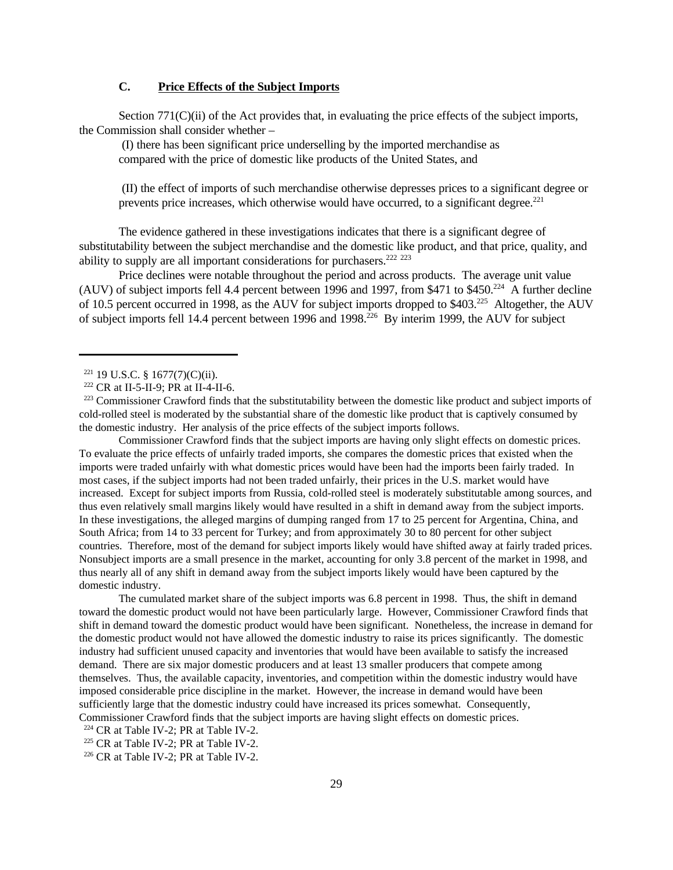## **C. Price Effects of the Subject Imports**

Section 771(C)(ii) of the Act provides that, in evaluating the price effects of the subject imports, the Commission shall consider whether –

 (I) there has been significant price underselling by the imported merchandise as compared with the price of domestic like products of the United States, and

 (II) the effect of imports of such merchandise otherwise depresses prices to a significant degree or prevents price increases, which otherwise would have occurred, to a significant degree.<sup>221</sup>

The evidence gathered in these investigations indicates that there is a significant degree of substitutability between the subject merchandise and the domestic like product, and that price, quality, and ability to supply are all important considerations for purchasers.<sup>222</sup> <sup>223</sup>

Price declines were notable throughout the period and across products. The average unit value (AUV) of subject imports fell 4.4 percent between 1996 and 1997, from \$471 to \$450.<sup>224</sup> A further decline of 10.5 percent occurred in 1998, as the AUV for subject imports dropped to \$403.<sup>225</sup> Altogether, the AUV of subject imports fell 14.4 percent between 1996 and 1998.<sup>226</sup> By interim 1999, the AUV for subject

Commissioner Crawford finds that the subject imports are having only slight effects on domestic prices. To evaluate the price effects of unfairly traded imports, she compares the domestic prices that existed when the imports were traded unfairly with what domestic prices would have been had the imports been fairly traded. In most cases, if the subject imports had not been traded unfairly, their prices in the U.S. market would have increased. Except for subject imports from Russia, cold-rolled steel is moderately substitutable among sources, and thus even relatively small margins likely would have resulted in a shift in demand away from the subject imports. In these investigations, the alleged margins of dumping ranged from 17 to 25 percent for Argentina, China, and South Africa; from 14 to 33 percent for Turkey; and from approximately 30 to 80 percent for other subject countries. Therefore, most of the demand for subject imports likely would have shifted away at fairly traded prices. Nonsubject imports are a small presence in the market, accounting for only 3.8 percent of the market in 1998, and thus nearly all of any shift in demand away from the subject imports likely would have been captured by the domestic industry.

The cumulated market share of the subject imports was 6.8 percent in 1998. Thus, the shift in demand toward the domestic product would not have been particularly large. However, Commissioner Crawford finds that shift in demand toward the domestic product would have been significant. Nonetheless, the increase in demand for the domestic product would not have allowed the domestic industry to raise its prices significantly. The domestic industry had sufficient unused capacity and inventories that would have been available to satisfy the increased demand. There are six major domestic producers and at least 13 smaller producers that compete among themselves. Thus, the available capacity, inventories, and competition within the domestic industry would have imposed considerable price discipline in the market. However, the increase in demand would have been sufficiently large that the domestic industry could have increased its prices somewhat. Consequently, Commissioner Crawford finds that the subject imports are having slight effects on domestic prices.

<sup>224</sup> CR at Table IV-2; PR at Table IV-2.

<sup>225</sup> CR at Table IV-2; PR at Table IV-2.

 $226$  CR at Table IV-2; PR at Table IV-2.

 $221$  19 U.S.C. § 1677(7)(C)(ii).

<sup>222</sup> CR at II-5-II-9; PR at II-4-II-6.

<sup>&</sup>lt;sup>223</sup> Commissioner Crawford finds that the substitutability between the domestic like product and subject imports of cold-rolled steel is moderated by the substantial share of the domestic like product that is captively consumed by the domestic industry. Her analysis of the price effects of the subject imports follows.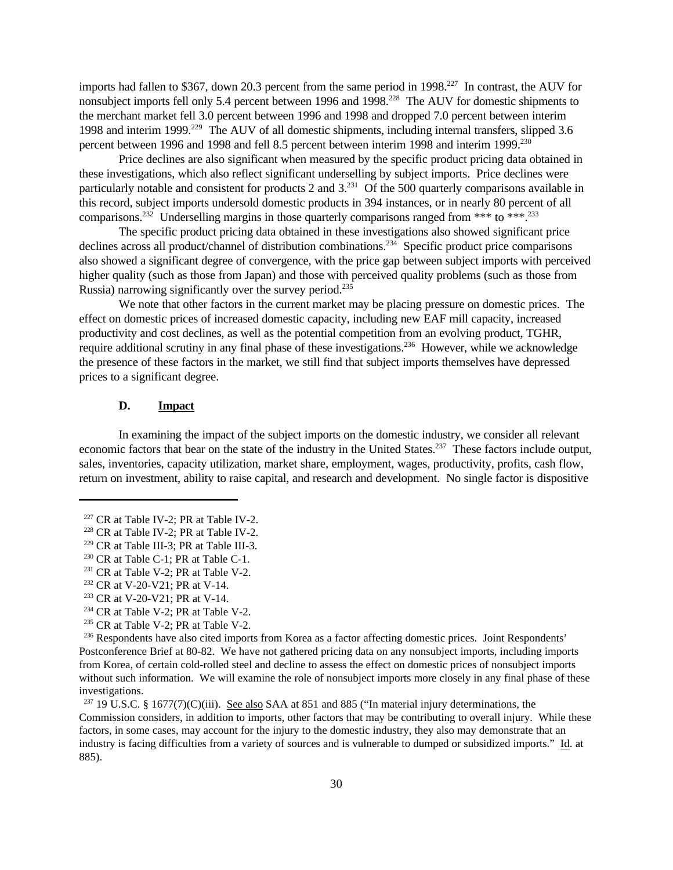imports had fallen to \$367, down 20.3 percent from the same period in 1998.<sup>227</sup> In contrast, the AUV for nonsubject imports fell only 5.4 percent between 1996 and 1998.<sup>228</sup> The AUV for domestic shipments to the merchant market fell 3.0 percent between 1996 and 1998 and dropped 7.0 percent between interim 1998 and interim 1999.<sup>229</sup> The AUV of all domestic shipments, including internal transfers, slipped 3.6 percent between 1996 and 1998 and fell 8.5 percent between interim 1998 and interim 1999.<sup>230</sup>

Price declines are also significant when measured by the specific product pricing data obtained in these investigations, which also reflect significant underselling by subject imports. Price declines were particularly notable and consistent for products 2 and  $3.^{231}$  Of the 500 quarterly comparisons available in this record, subject imports undersold domestic products in 394 instances, or in nearly 80 percent of all comparisons.<sup>232</sup> Underselling margins in those quarterly comparisons ranged from \*\*\* to \*\*\*.<sup>233</sup>

The specific product pricing data obtained in these investigations also showed significant price declines across all product/channel of distribution combinations.<sup>234</sup> Specific product price comparisons also showed a significant degree of convergence, with the price gap between subject imports with perceived higher quality (such as those from Japan) and those with perceived quality problems (such as those from Russia) narrowing significantly over the survey period.<sup>235</sup>

We note that other factors in the current market may be placing pressure on domestic prices. The effect on domestic prices of increased domestic capacity, including new EAF mill capacity, increased productivity and cost declines, as well as the potential competition from an evolving product, TGHR, require additional scrutiny in any final phase of these investigations.<sup>236</sup> However, while we acknowledge the presence of these factors in the market, we still find that subject imports themselves have depressed prices to a significant degree.

### **D. Impact**

In examining the impact of the subject imports on the domestic industry, we consider all relevant economic factors that bear on the state of the industry in the United States.<sup>237</sup> These factors include output, sales, inventories, capacity utilization, market share, employment, wages, productivity, profits, cash flow, return on investment, ability to raise capital, and research and development. No single factor is dispositive

 $227$  CR at Table IV-2; PR at Table IV-2.

<sup>228</sup> CR at Table IV-2; PR at Table IV-2.

 $229$  CR at Table III-3; PR at Table III-3.

<sup>230</sup> CR at Table C-1; PR at Table C-1.

<sup>&</sup>lt;sup>231</sup> CR at Table V-2; PR at Table V-2.

<sup>232</sup> CR at V-20-V21; PR at V-14.

<sup>233</sup> CR at V-20-V21; PR at V-14.

<sup>&</sup>lt;sup>234</sup> CR at Table V-2; PR at Table V-2.

<sup>&</sup>lt;sup>235</sup> CR at Table V-2; PR at Table V-2.

<sup>&</sup>lt;sup>236</sup> Respondents have also cited imports from Korea as a factor affecting domestic prices. Joint Respondents' Postconference Brief at 80-82. We have not gathered pricing data on any nonsubject imports, including imports from Korea, of certain cold-rolled steel and decline to assess the effect on domestic prices of nonsubject imports without such information. We will examine the role of nonsubject imports more closely in any final phase of these investigations.

 $237$  19 U.S.C. § 1677(7)(C)(iii). See also SAA at 851 and 885 ("In material injury determinations, the Commission considers, in addition to imports, other factors that may be contributing to overall injury. While these factors, in some cases, may account for the injury to the domestic industry, they also may demonstrate that an industry is facing difficulties from a variety of sources and is vulnerable to dumped or subsidized imports." Id. at 885).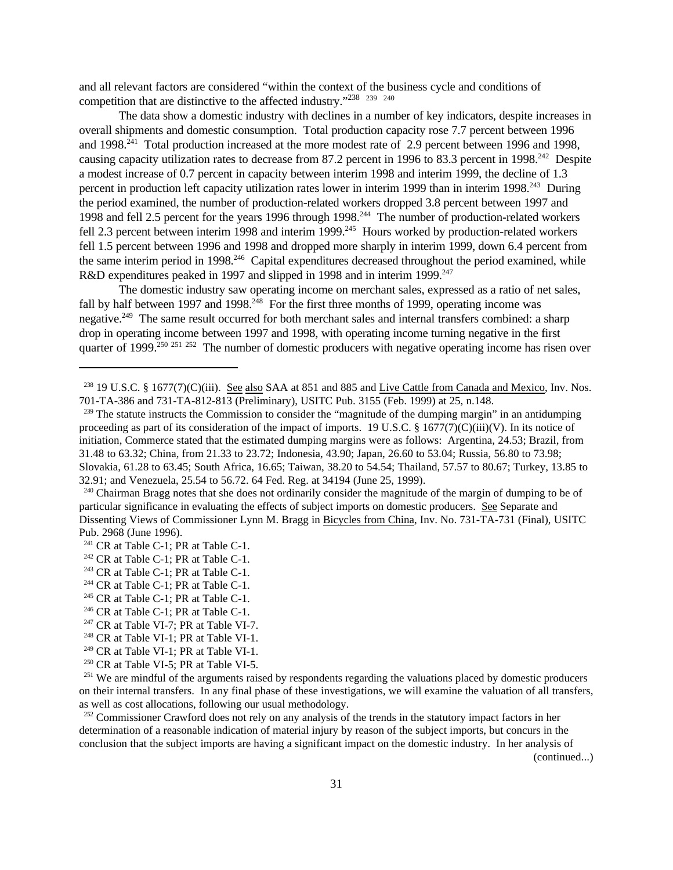and all relevant factors are considered "within the context of the business cycle and conditions of competition that are distinctive to the affected industry."<sup>238</sup> <sup>239</sup><sup>240</sup>

The data show a domestic industry with declines in a number of key indicators, despite increases in overall shipments and domestic consumption. Total production capacity rose 7.7 percent between 1996 and 1998.<sup>241</sup> Total production increased at the more modest rate of 2.9 percent between 1996 and 1998, causing capacity utilization rates to decrease from 87.2 percent in 1996 to 83.3 percent in 1998.<sup>242</sup> Despite a modest increase of 0.7 percent in capacity between interim 1998 and interim 1999, the decline of 1.3 percent in production left capacity utilization rates lower in interim 1999 than in interim 1998.<sup>243</sup> During the period examined, the number of production-related workers dropped 3.8 percent between 1997 and 1998 and fell 2.5 percent for the years 1996 through 1998.<sup>244</sup> The number of production-related workers fell 2.3 percent between interim 1998 and interim 1999.<sup>245</sup> Hours worked by production-related workers fell 1.5 percent between 1996 and 1998 and dropped more sharply in interim 1999, down 6.4 percent from the same interim period in 1998.<sup>246</sup> Capital expenditures decreased throughout the period examined, while R&D expenditures peaked in 1997 and slipped in 1998 and in interim 1999.<sup>247</sup>

The domestic industry saw operating income on merchant sales, expressed as a ratio of net sales, fall by half between 1997 and 1998.<sup>248</sup> For the first three months of 1999, operating income was negative.<sup>249</sup> The same result occurred for both merchant sales and internal transfers combined: a sharp drop in operating income between 1997 and 1998, with operating income turning negative in the first quarter of 1999.<sup>250 251 252</sup> The number of domestic producers with negative operating income has risen over

<sup>252</sup> Commissioner Crawford does not rely on any analysis of the trends in the statutory impact factors in her determination of a reasonable indication of material injury by reason of the subject imports, but concurs in the conclusion that the subject imports are having a significant impact on the domestic industry. In her analysis of

(continued...)

<sup>&</sup>lt;sup>238</sup> 19 U.S.C. § 1677(7)(C)(iii). See also SAA at 851 and 885 and Live Cattle from Canada and Mexico, Inv. Nos. 701-TA-386 and 731-TA-812-813 (Preliminary), USITC Pub. 3155 (Feb. 1999) at 25, n.148.

 $239$  The statute instructs the Commission to consider the "magnitude of the dumping margin" in an antidumping proceeding as part of its consideration of the impact of imports. 19 U.S.C. § 1677(7)(C)(iii)(V). In its notice of initiation, Commerce stated that the estimated dumping margins were as follows: Argentina, 24.53; Brazil, from 31.48 to 63.32; China, from 21.33 to 23.72; Indonesia, 43.90; Japan, 26.60 to 53.04; Russia, 56.80 to 73.98; Slovakia, 61.28 to 63.45; South Africa, 16.65; Taiwan, 38.20 to 54.54; Thailand, 57.57 to 80.67; Turkey, 13.85 to 32.91; and Venezuela, 25.54 to 56.72. 64 Fed. Reg. at 34194 (June 25, 1999).

<sup>&</sup>lt;sup>240</sup> Chairman Bragg notes that she does not ordinarily consider the magnitude of the margin of dumping to be of particular significance in evaluating the effects of subject imports on domestic producers. See Separate and Dissenting Views of Commissioner Lynn M. Bragg in Bicycles from China, Inv. No. 731-TA-731 (Final), USITC Pub. 2968 (June 1996).

<sup>&</sup>lt;sup>241</sup> CR at Table C-1; PR at Table C-1.

 $242$  CR at Table C-1; PR at Table C-1.

 $243$  CR at Table C-1; PR at Table C-1.

<sup>&</sup>lt;sup>244</sup> CR at Table C-1; PR at Table C-1.

<sup>&</sup>lt;sup>245</sup> CR at Table C-1; PR at Table C-1.

<sup>&</sup>lt;sup>246</sup> CR at Table C-1; PR at Table C-1.

 $247$  CR at Table VI-7; PR at Table VI-7.

<sup>&</sup>lt;sup>248</sup> CR at Table VI-1; PR at Table VI-1.

<sup>&</sup>lt;sup>249</sup> CR at Table VI-1; PR at Table VI-1.

<sup>&</sup>lt;sup>250</sup> CR at Table VI-5; PR at Table VI-5.

<sup>&</sup>lt;sup>251</sup> We are mindful of the arguments raised by respondents regarding the valuations placed by domestic producers on their internal transfers. In any final phase of these investigations, we will examine the valuation of all transfers, as well as cost allocations, following our usual methodology.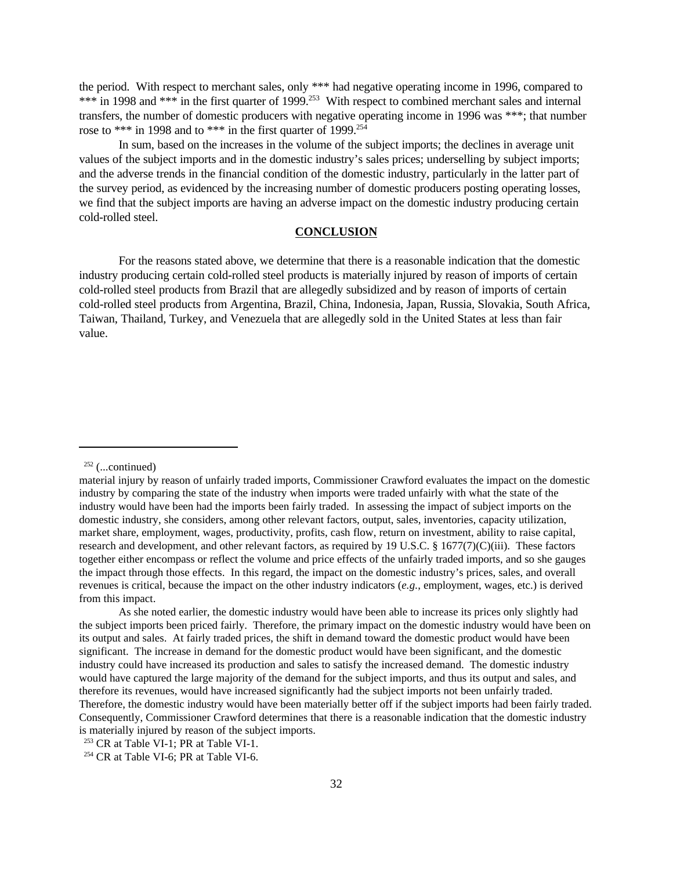the period. With respect to merchant sales, only \*\*\* had negative operating income in 1996, compared to \*\*\* in 1998 and \*\*\* in the first quarter of 1999.<sup>253</sup> With respect to combined merchant sales and internal transfers, the number of domestic producers with negative operating income in 1996 was \*\*\*; that number rose to \*\*\* in 1998 and to \*\*\* in the first quarter of 1999.<sup>254</sup>

In sum, based on the increases in the volume of the subject imports; the declines in average unit values of the subject imports and in the domestic industry's sales prices; underselling by subject imports; and the adverse trends in the financial condition of the domestic industry, particularly in the latter part of the survey period, as evidenced by the increasing number of domestic producers posting operating losses, we find that the subject imports are having an adverse impact on the domestic industry producing certain cold-rolled steel.

#### **CONCLUSION**

For the reasons stated above, we determine that there is a reasonable indication that the domestic industry producing certain cold-rolled steel products is materially injured by reason of imports of certain cold-rolled steel products from Brazil that are allegedly subsidized and by reason of imports of certain cold-rolled steel products from Argentina, Brazil, China, Indonesia, Japan, Russia, Slovakia, South Africa, Taiwan, Thailand, Turkey, and Venezuela that are allegedly sold in the United States at less than fair value.

 $252$  (...continued)

material injury by reason of unfairly traded imports, Commissioner Crawford evaluates the impact on the domestic industry by comparing the state of the industry when imports were traded unfairly with what the state of the industry would have been had the imports been fairly traded. In assessing the impact of subject imports on the domestic industry, she considers, among other relevant factors, output, sales, inventories, capacity utilization, market share, employment, wages, productivity, profits, cash flow, return on investment, ability to raise capital, research and development, and other relevant factors, as required by 19 U.S.C. § 1677(7)(C)(iii). These factors together either encompass or reflect the volume and price effects of the unfairly traded imports, and so she gauges the impact through those effects. In this regard, the impact on the domestic industry's prices, sales, and overall revenues is critical, because the impact on the other industry indicators (*e.g.*, employment, wages, etc.) is derived from this impact.

As she noted earlier, the domestic industry would have been able to increase its prices only slightly had the subject imports been priced fairly. Therefore, the primary impact on the domestic industry would have been on its output and sales. At fairly traded prices, the shift in demand toward the domestic product would have been significant. The increase in demand for the domestic product would have been significant, and the domestic industry could have increased its production and sales to satisfy the increased demand. The domestic industry would have captured the large majority of the demand for the subject imports, and thus its output and sales, and therefore its revenues, would have increased significantly had the subject imports not been unfairly traded. Therefore, the domestic industry would have been materially better off if the subject imports had been fairly traded. Consequently, Commissioner Crawford determines that there is a reasonable indication that the domestic industry is materially injured by reason of the subject imports.

<sup>&</sup>lt;sup>253</sup> CR at Table VI-1; PR at Table VI-1.

 $254$  CR at Table VI-6; PR at Table VI-6.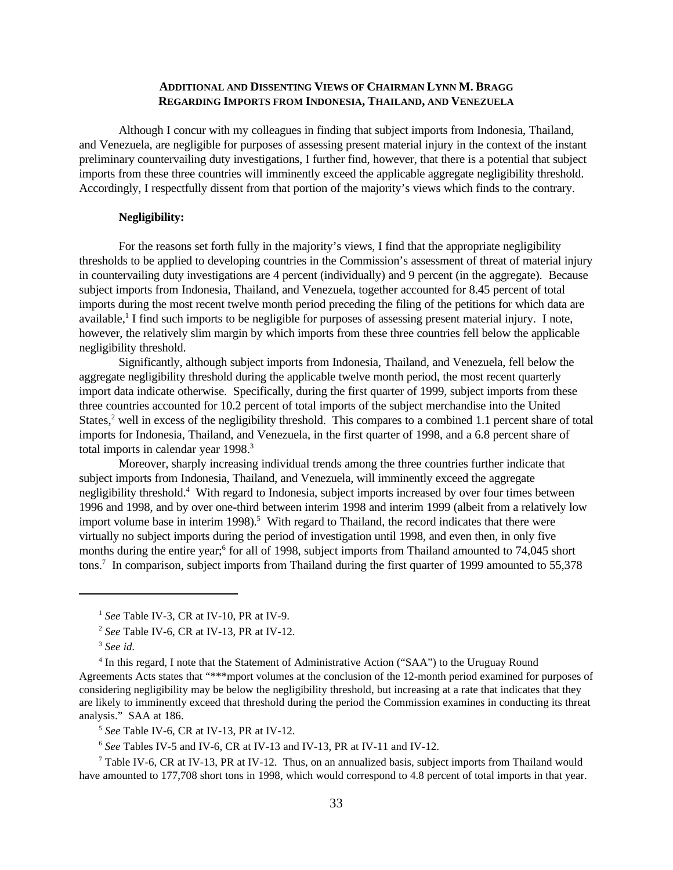### **ADDITIONAL AND DISSENTING VIEWS OF CHAIRMAN LYNN M. BRAGG REGARDING IMPORTS FROM INDONESIA, THAILAND, AND VENEZUELA**

Although I concur with my colleagues in finding that subject imports from Indonesia, Thailand, and Venezuela, are negligible for purposes of assessing present material injury in the context of the instant preliminary countervailing duty investigations, I further find, however, that there is a potential that subject imports from these three countries will imminently exceed the applicable aggregate negligibility threshold. Accordingly, I respectfully dissent from that portion of the majority's views which finds to the contrary.

### **Negligibility:**

For the reasons set forth fully in the majority's views, I find that the appropriate negligibility thresholds to be applied to developing countries in the Commission's assessment of threat of material injury in countervailing duty investigations are 4 percent (individually) and 9 percent (in the aggregate). Because subject imports from Indonesia, Thailand, and Venezuela, together accounted for 8.45 percent of total imports during the most recent twelve month period preceding the filing of the petitions for which data are available,<sup>1</sup> I find such imports to be negligible for purposes of assessing present material injury. I note, however, the relatively slim margin by which imports from these three countries fell below the applicable negligibility threshold.

Significantly, although subject imports from Indonesia, Thailand, and Venezuela, fell below the aggregate negligibility threshold during the applicable twelve month period, the most recent quarterly import data indicate otherwise. Specifically, during the first quarter of 1999, subject imports from these three countries accounted for 10.2 percent of total imports of the subject merchandise into the United States,<sup>2</sup> well in excess of the negligibility threshold. This compares to a combined 1.1 percent share of total imports for Indonesia, Thailand, and Venezuela, in the first quarter of 1998, and a 6.8 percent share of total imports in calendar year 1998.<sup>3</sup>

Moreover, sharply increasing individual trends among the three countries further indicate that subject imports from Indonesia, Thailand, and Venezuela, will imminently exceed the aggregate negligibility threshold.<sup>4</sup> With regard to Indonesia, subject imports increased by over four times between 1996 and 1998, and by over one-third between interim 1998 and interim 1999 (albeit from a relatively low import volume base in interim 1998).<sup>5</sup> With regard to Thailand, the record indicates that there were virtually no subject imports during the period of investigation until 1998, and even then, in only five months during the entire year;<sup>6</sup> for all of 1998, subject imports from Thailand amounted to 74,045 short tons.<sup>7</sup> In comparison, subject imports from Thailand during the first quarter of 1999 amounted to 55,378

<sup>4</sup> In this regard, I note that the Statement of Administrative Action ("SAA") to the Uruguay Round Agreements Acts states that "\*\*\*mport volumes at the conclusion of the 12-month period examined for purposes of considering negligibility may be below the negligibility threshold, but increasing at a rate that indicates that they are likely to imminently exceed that threshold during the period the Commission examines in conducting its threat analysis." SAA at 186.

5 *See* Table IV-6, CR at IV-13, PR at IV-12.

6 *See* Tables IV-5 and IV-6, CR at IV-13 and IV-13, PR at IV-11 and IV-12.

<sup>7</sup> Table IV-6, CR at IV-13, PR at IV-12. Thus, on an annualized basis, subject imports from Thailand would have amounted to 177,708 short tons in 1998, which would correspond to 4.8 percent of total imports in that year.

<sup>1</sup> *See* Table IV-3, CR at IV-10, PR at IV-9.

<sup>2</sup> *See* Table IV-6, CR at IV-13, PR at IV-12.

<sup>3</sup> *See id.*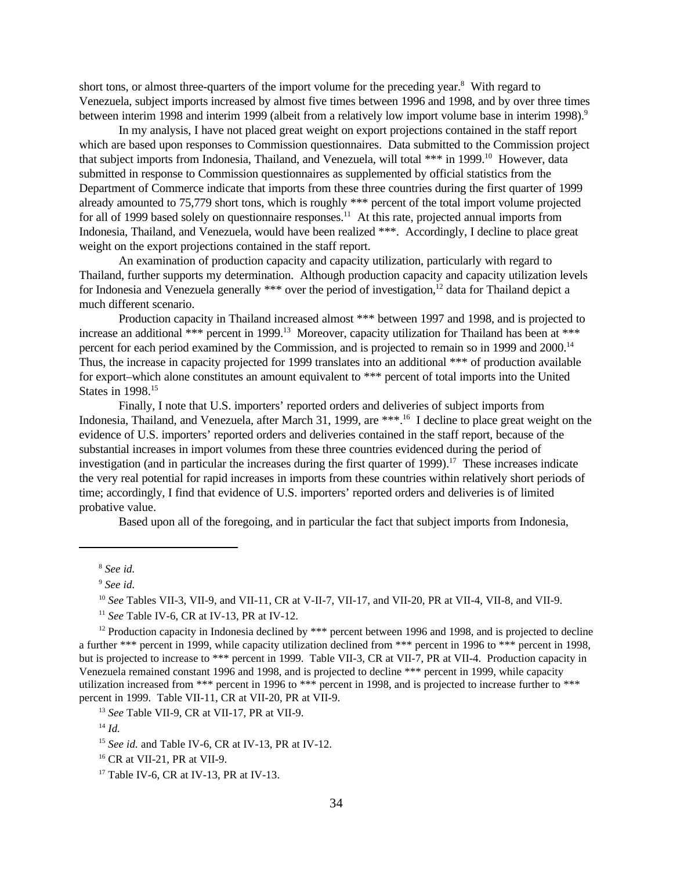short tons, or almost three-quarters of the import volume for the preceding year.<sup>8</sup> With regard to Venezuela, subject imports increased by almost five times between 1996 and 1998, and by over three times between interim 1998 and interim 1999 (albeit from a relatively low import volume base in interim 1998).<sup>9</sup>

In my analysis, I have not placed great weight on export projections contained in the staff report which are based upon responses to Commission questionnaires. Data submitted to the Commission project that subject imports from Indonesia. Thailand, and Venezuela, will total \*\*\* in 1999.<sup>10</sup> However, data submitted in response to Commission questionnaires as supplemented by official statistics from the Department of Commerce indicate that imports from these three countries during the first quarter of 1999 already amounted to 75,779 short tons, which is roughly \*\*\* percent of the total import volume projected for all of 1999 based solely on questionnaire responses.<sup>11</sup> At this rate, projected annual imports from Indonesia, Thailand, and Venezuela, would have been realized \*\*\*. Accordingly, I decline to place great weight on the export projections contained in the staff report.

An examination of production capacity and capacity utilization, particularly with regard to Thailand, further supports my determination. Although production capacity and capacity utilization levels for Indonesia and Venezuela generally \*\*\* over the period of investigation,<sup>12</sup> data for Thailand depict a much different scenario.

Production capacity in Thailand increased almost \*\*\* between 1997 and 1998, and is projected to increase an additional \*\*\* percent in 1999.<sup>13</sup> Moreover, capacity utilization for Thailand has been at \*\*\* percent for each period examined by the Commission, and is projected to remain so in 1999 and 2000.<sup>14</sup> Thus, the increase in capacity projected for 1999 translates into an additional \*\*\* of production available for export–which alone constitutes an amount equivalent to \*\*\* percent of total imports into the United States in 1998.<sup>15</sup>

Finally, I note that U.S. importers' reported orders and deliveries of subject imports from Indonesia, Thailand, and Venezuela, after March 31, 1999, are \*\*\*.<sup>16</sup> I decline to place great weight on the evidence of U.S. importers' reported orders and deliveries contained in the staff report, because of the substantial increases in import volumes from these three countries evidenced during the period of investigation (and in particular the increases during the first quarter of 1999).<sup>17</sup> These increases indicate the very real potential for rapid increases in imports from these countries within relatively short periods of time; accordingly, I find that evidence of U.S. importers' reported orders and deliveries is of limited probative value.

Based upon all of the foregoing, and in particular the fact that subject imports from Indonesia,

<sup>8</sup> *See id.*

<sup>9</sup> *See id.*

<sup>10</sup> *See* Tables VII-3, VII-9, and VII-11, CR at V-II-7, VII-17, and VII-20, PR at VII-4, VII-8, and VII-9.

<sup>11</sup> *See* Table IV-6, CR at IV-13, PR at IV-12.

<sup>&</sup>lt;sup>12</sup> Production capacity in Indonesia declined by \*\*\* percent between 1996 and 1998, and is projected to decline a further \*\*\* percent in 1999, while capacity utilization declined from \*\*\* percent in 1996 to \*\*\* percent in 1998, but is projected to increase to \*\*\* percent in 1999. Table VII-3, CR at VII-7, PR at VII-4. Production capacity in Venezuela remained constant 1996 and 1998, and is projected to decline \*\*\* percent in 1999, while capacity utilization increased from \*\*\* percent in 1996 to \*\*\* percent in 1998, and is projected to increase further to \*\*\* percent in 1999. Table VII-11, CR at VII-20, PR at VII-9.

<sup>13</sup> *See* Table VII-9, CR at VII-17, PR at VII-9.

<sup>14</sup> *Id.*

<sup>15</sup> *See id.* and Table IV-6, CR at IV-13, PR at IV-12.

<sup>16</sup> CR at VII-21, PR at VII-9.

 $17$  Table IV-6, CR at IV-13, PR at IV-13.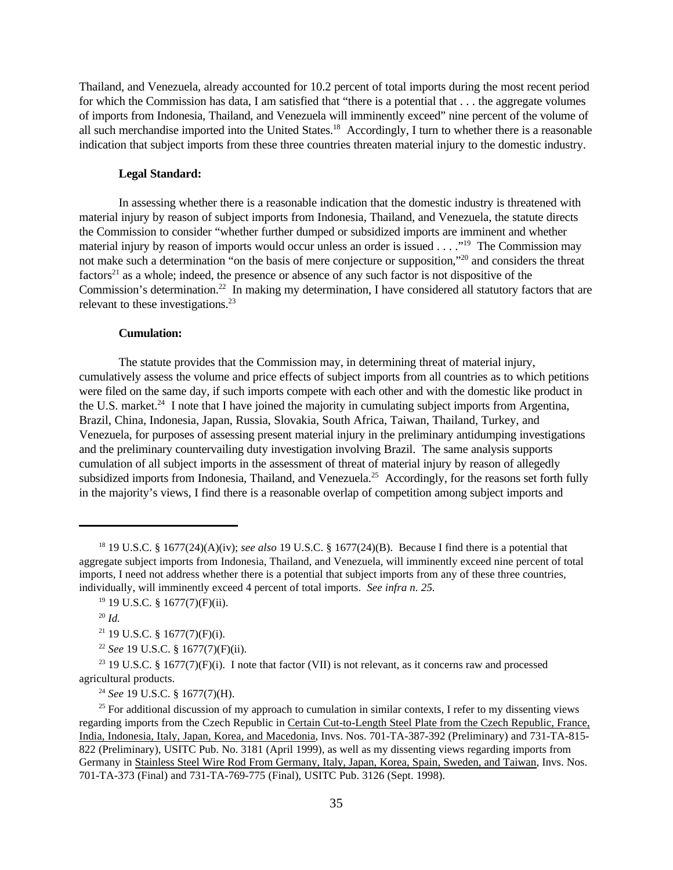Thailand, and Venezuela, already accounted for 10.2 percent of total imports during the most recent period for which the Commission has data, I am satisfied that "there is a potential that . . . the aggregate volumes of imports from Indonesia, Thailand, and Venezuela will imminently exceed" nine percent of the volume of all such merchandise imported into the United States.<sup>18</sup> Accordingly, I turn to whether there is a reasonable indication that subject imports from these three countries threaten material injury to the domestic industry.

#### **Legal Standard:**

In assessing whether there is a reasonable indication that the domestic industry is threatened with material injury by reason of subject imports from Indonesia, Thailand, and Venezuela, the statute directs the Commission to consider "whether further dumped or subsidized imports are imminent and whether material injury by reason of imports would occur unless an order is issued . . . ."<sup>19</sup> The Commission may not make such a determination "on the basis of mere conjecture or supposition,"<sup>20</sup> and considers the threat  $factors<sup>21</sup>$  as a whole; indeed, the presence or absence of any such factor is not dispositive of the Commission's determination.<sup>22</sup> In making my determination, I have considered all statutory factors that are relevant to these investigations.<sup>23</sup>

#### **Cumulation:**

The statute provides that the Commission may, in determining threat of material injury, cumulatively assess the volume and price effects of subject imports from all countries as to which petitions were filed on the same day, if such imports compete with each other and with the domestic like product in the U.S. market.<sup>24</sup> I note that I have joined the majority in cumulating subject imports from Argentina, Brazil, China, Indonesia, Japan, Russia, Slovakia, South Africa, Taiwan, Thailand, Turkey, and Venezuela, for purposes of assessing present material injury in the preliminary antidumping investigations and the preliminary countervailing duty investigation involving Brazil. The same analysis supports cumulation of all subject imports in the assessment of threat of material injury by reason of allegedly subsidized imports from Indonesia, Thailand, and Venezuela.<sup>25</sup> Accordingly, for the reasons set forth fully in the majority's views, I find there is a reasonable overlap of competition among subject imports and

<sup>18</sup> 19 U.S.C. § 1677(24)(A)(iv); *see also* 19 U.S.C. § 1677(24)(B). Because I find there is a potential that aggregate subject imports from Indonesia, Thailand, and Venezuela, will imminently exceed nine percent of total imports, I need not address whether there is a potential that subject imports from any of these three countries, individually, will imminently exceed 4 percent of total imports. *See infra n. 25.*

<sup>19</sup> 19 U.S.C. § 1677(7)(F)(ii).

<sup>20</sup> *Id.*

 $21$  19 U.S.C. § 1677(7)(F)(i).

<sup>22</sup> *See* 19 U.S.C. § 1677(7)(F)(ii).

<sup>&</sup>lt;sup>23</sup> 19 U.S.C. § 1677(7)(F)(i). I note that factor (VII) is not relevant, as it concerns raw and processed agricultural products.

<sup>24</sup> *See* 19 U.S.C. § 1677(7)(H).

<sup>&</sup>lt;sup>25</sup> For additional discussion of my approach to cumulation in similar contexts, I refer to my dissenting views regarding imports from the Czech Republic in Certain Cut-to-Length Steel Plate from the Czech Republic, France, India, Indonesia, Italy, Japan, Korea, and Macedonia, Invs. Nos. 701-TA-387-392 (Preliminary) and 731-TA-815- 822 (Preliminary), USITC Pub. No. 3181 (April 1999), as well as my dissenting views regarding imports from Germany in Stainless Steel Wire Rod From Germany, Italy, Japan, Korea, Spain, Sweden, and Taiwan, Invs. Nos. 701-TA-373 (Final) and 731-TA-769-775 (Final), USITC Pub. 3126 (Sept. 1998).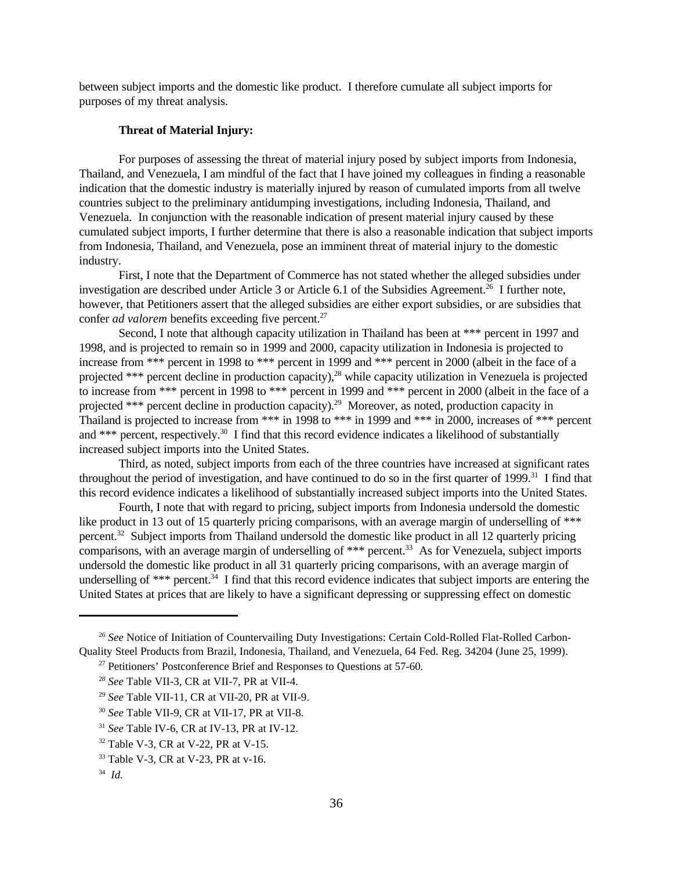between subject imports and the domestic like product. I therefore cumulate all subject imports for purposes of my threat analysis.

#### **Threat of Material Injury:**

For purposes of assessing the threat of material injury posed by subject imports from Indonesia, Thailand, and Venezuela, I am mindful of the fact that I have joined my colleagues in finding a reasonable indication that the domestic industry is materially injured by reason of cumulated imports from all twelve countries subject to the preliminary antidumping investigations, including Indonesia, Thailand, and Venezuela. In conjunction with the reasonable indication of present material injury caused by these cumulated subject imports, I further determine that there is also a reasonable indication that subject imports from Indonesia, Thailand, and Venezuela, pose an imminent threat of material injury to the domestic industry.

First, I note that the Department of Commerce has not stated whether the alleged subsidies under investigation are described under Article 3 or Article 6.1 of the Subsidies Agreement.<sup>26</sup> I further note, however, that Petitioners assert that the alleged subsidies are either export subsidies, or are subsidies that confer *ad valorem* benefits exceeding five percent.<sup>27</sup>

Second, I note that although capacity utilization in Thailand has been at \*\*\* percent in 1997 and 1998, and is projected to remain so in 1999 and 2000, capacity utilization in Indonesia is projected to increase from \*\*\* percent in 1998 to \*\*\* percent in 1999 and \*\*\* percent in 2000 (albeit in the face of a projected \*\*\* percent decline in production capacity),<sup>28</sup> while capacity utilization in Venezuela is projected to increase from \*\*\* percent in 1998 to \*\*\* percent in 1999 and \*\*\* percent in 2000 (albeit in the face of a projected \*\*\* percent decline in production capacity).<sup>29</sup> Moreover, as noted, production capacity in Thailand is projected to increase from \*\*\* in 1998 to \*\*\* in 1999 and \*\*\* in 2000, increases of \*\*\* percent and \*\*\* percent, respectively.<sup>30</sup> I find that this record evidence indicates a likelihood of substantially increased subject imports into the United States.

Third, as noted, subject imports from each of the three countries have increased at significant rates throughout the period of investigation, and have continued to do so in the first quarter of  $1999$ <sup>31</sup> I find that this record evidence indicates a likelihood of substantially increased subject imports into the United States.

Fourth, I note that with regard to pricing, subject imports from Indonesia undersold the domestic like product in 13 out of 15 quarterly pricing comparisons, with an average margin of underselling of \*\*\* percent.<sup>32</sup> Subject imports from Thailand undersold the domestic like product in all 12 quarterly pricing comparisons, with an average margin of underselling of  $***$  percent.<sup>33</sup> As for Venezuela, subject imports undersold the domestic like product in all 31 quarterly pricing comparisons, with an average margin of underselling of \*\*\* percent.<sup>34</sup> I find that this record evidence indicates that subject imports are entering the United States at prices that are likely to have a significant depressing or suppressing effect on domestic

<sup>&</sup>lt;sup>26</sup> See Notice of Initiation of Countervailing Duty Investigations: Certain Cold-Rolled Flat-Rolled Carbon-Quality Steel Products from Brazil, Indonesia, Thailand, and Venezuela, 64 Fed. Reg. 34204 (June 25, 1999).  $27$  Petitioners' Postconference Brief and Responses to Questions at 57-60.

<sup>28</sup> *See* Table VII-3, CR at VII-7, PR at VII-4.

<sup>29</sup> *See* Table VII-11, CR at VII-20, PR at VII-9.

<sup>30</sup> *See* Table VII-9, CR at VII-17, PR at VII-8.

<sup>31</sup> *See* Table IV-6, CR at IV-13, PR at IV-12.

<sup>32</sup> Table V-3, CR at V-22, PR at V-15.

<sup>33</sup> Table V-3, CR at V-23, PR at v-16.

<sup>34</sup> *Id.*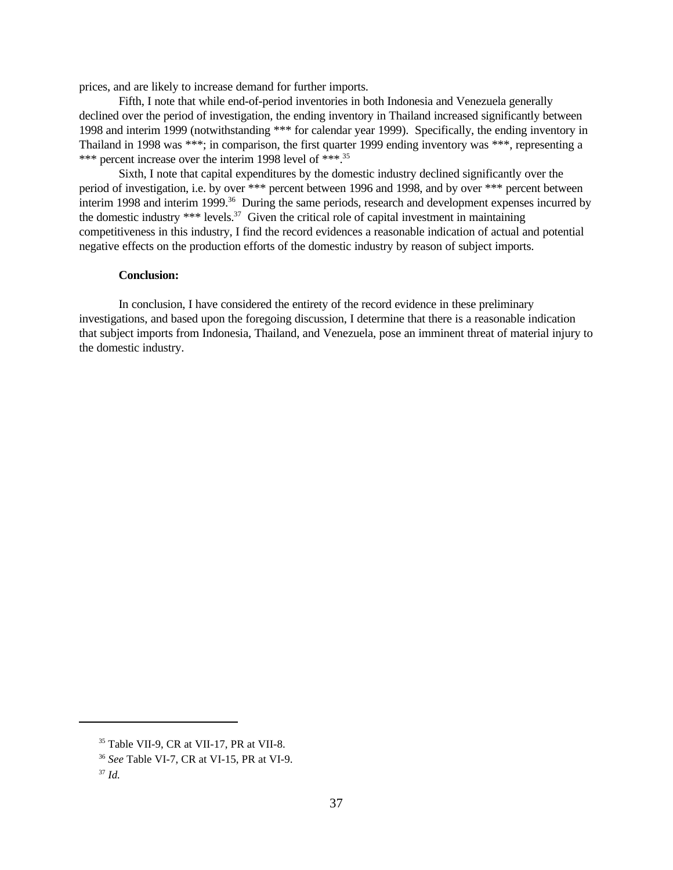prices, and are likely to increase demand for further imports.

Fifth, I note that while end-of-period inventories in both Indonesia and Venezuela generally declined over the period of investigation, the ending inventory in Thailand increased significantly between 1998 and interim 1999 (notwithstanding \*\*\* for calendar year 1999). Specifically, the ending inventory in Thailand in 1998 was \*\*\*; in comparison, the first quarter 1999 ending inventory was \*\*\*, representing a \*\*\* percent increase over the interim 1998 level of \*\*\*.<sup>35</sup>

Sixth, I note that capital expenditures by the domestic industry declined significantly over the period of investigation, i.e. by over \*\*\* percent between 1996 and 1998, and by over \*\*\* percent between interim 1998 and interim 1999.<sup>36</sup> During the same periods, research and development expenses incurred by the domestic industry  $***$  levels.<sup>37</sup> Given the critical role of capital investment in maintaining competitiveness in this industry, I find the record evidences a reasonable indication of actual and potential negative effects on the production efforts of the domestic industry by reason of subject imports.

#### **Conclusion:**

In conclusion, I have considered the entirety of the record evidence in these preliminary investigations, and based upon the foregoing discussion, I determine that there is a reasonable indication that subject imports from Indonesia, Thailand, and Venezuela, pose an imminent threat of material injury to the domestic industry.

<sup>35</sup> Table VII-9, CR at VII-17, PR at VII-8.

<sup>36</sup> *See* Table VI-7, CR at VI-15, PR at VI-9.

<sup>37</sup> *Id.*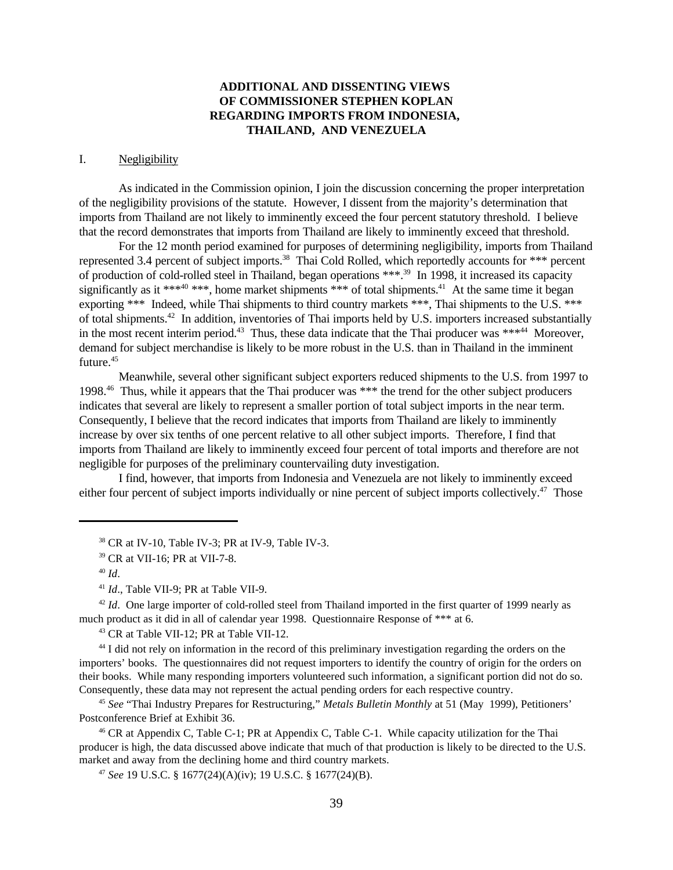# **ADDITIONAL AND DISSENTING VIEWS OF COMMISSIONER STEPHEN KOPLAN REGARDING IMPORTS FROM INDONESIA, THAILAND, AND VENEZUELA**

#### I. Negligibility

As indicated in the Commission opinion, I join the discussion concerning the proper interpretation of the negligibility provisions of the statute. However, I dissent from the majority's determination that imports from Thailand are not likely to imminently exceed the four percent statutory threshold. I believe that the record demonstrates that imports from Thailand are likely to imminently exceed that threshold.

For the 12 month period examined for purposes of determining negligibility, imports from Thailand represented 3.4 percent of subject imports.<sup>38</sup> Thai Cold Rolled, which reportedly accounts for \*\*\* percent of production of cold-rolled steel in Thailand, began operations \*\*\*.<sup>39</sup> In 1998, it increased its capacity significantly as it \*\*\* $40$  \*\*\*, home market shipments \*\*\* of total shipments.<sup>41</sup> At the same time it began exporting \*\*\* Indeed, while Thai shipments to third country markets \*\*\*, Thai shipments to the U.S. \*\*\* of total shipments.<sup>42</sup> In addition, inventories of Thai imports held by U.S. importers increased substantially in the most recent interim period.<sup>43</sup> Thus, these data indicate that the Thai producer was \*\*\* $44$  Moreover. demand for subject merchandise is likely to be more robust in the U.S. than in Thailand in the imminent future.<sup>45</sup>

Meanwhile, several other significant subject exporters reduced shipments to the U.S. from 1997 to 1998.<sup>46</sup> Thus, while it appears that the Thai producer was \*\*\* the trend for the other subject producers indicates that several are likely to represent a smaller portion of total subject imports in the near term. Consequently, I believe that the record indicates that imports from Thailand are likely to imminently increase by over six tenths of one percent relative to all other subject imports. Therefore, I find that imports from Thailand are likely to imminently exceed four percent of total imports and therefore are not negligible for purposes of the preliminary countervailing duty investigation.

I find, however, that imports from Indonesia and Venezuela are not likely to imminently exceed either four percent of subject imports individually or nine percent of subject imports collectively.<sup>47</sup> Those

 $38$  CR at IV-10, Table IV-3; PR at IV-9, Table IV-3.

<sup>42</sup> *Id.* One large importer of cold-rolled steel from Thailand imported in the first quarter of 1999 nearly as much product as it did in all of calendar year 1998. Questionnaire Response of \*\*\* at 6.

<sup>43</sup> CR at Table VII-12; PR at Table VII-12.

<sup>44</sup> I did not rely on information in the record of this preliminary investigation regarding the orders on the importers' books. The questionnaires did not request importers to identify the country of origin for the orders on their books. While many responding importers volunteered such information, a significant portion did not do so. Consequently, these data may not represent the actual pending orders for each respective country.

<sup>45</sup> *See* "Thai Industry Prepares for Restructuring," *Metals Bulletin Monthly* at 51 (May 1999), Petitioners' Postconference Brief at Exhibit 36.

 $46$  CR at Appendix C, Table C-1; PR at Appendix C, Table C-1. While capacity utilization for the Thai producer is high, the data discussed above indicate that much of that production is likely to be directed to the U.S. market and away from the declining home and third country markets.

<sup>47</sup> *See* 19 U.S.C. § 1677(24)(A)(iv); 19 U.S.C. § 1677(24)(B).

<sup>39</sup> CR at VII-16; PR at VII-7-8.

<sup>40</sup> *Id*.

<sup>41</sup> *Id*., Table VII-9; PR at Table VII-9.